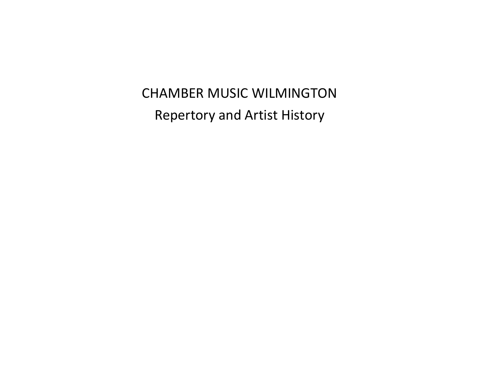CHAMBER MUSIC WILMINGTON Repertory and Artist History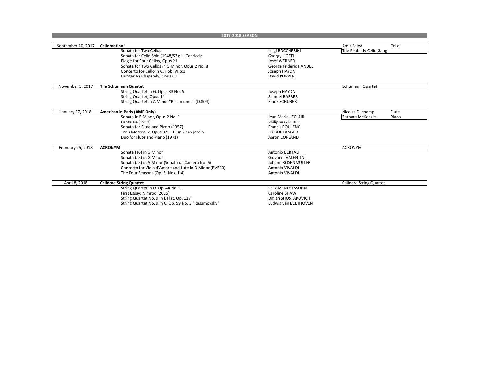| 2017-2018 SEASON   |                                                        |                          |                                  |
|--------------------|--------------------------------------------------------|--------------------------|----------------------------------|
|                    |                                                        |                          |                                  |
| September 10, 2017 | Cellobration!                                          |                          | Amit Peled<br>Cello              |
|                    | Sonata for Two Cellos                                  | Luigi BOCCHERINI         | The Peabody Cello Gang           |
|                    | Sonata for Cello Solo (1948/53): II. Capriccio         | <b>Gyorgy LIGETI</b>     |                                  |
|                    | Elegie for Four Cellos, Opus 21                        | Josef WERNER             |                                  |
|                    | Sonata for Two Cellos in G Minor, Opus 2 No. 8         | George Frideric HANDEL   |                                  |
|                    | Concerto for Cello in C, Hob. VIIb:1                   | Joseph HAYDN             |                                  |
|                    | Hungarian Rhapsody, Opus 68                            | David POPPER             |                                  |
| November 5, 2017   | The Schumann Quartet                                   |                          | Schumann Quartet                 |
|                    | String Quartet in G, Opus 33 No. 5                     | Joseph HAYDN             |                                  |
|                    | String Quartet, Opus 11                                | Samuel BARBER            |                                  |
|                    | String Quartet in A Minor "Rosamunde" (D.804)          | <b>Franz SCHUBERT</b>    |                                  |
| January 27, 2018   | American in Paris (AMF Only)                           |                          | Nicolas Duchamp<br>Flute         |
|                    | Sonata in E Minor, Opus 2 No. 1                        | Jean Marie LECLAIR       | <b>Barbara McKenzie</b><br>Piano |
|                    | Fantaisie (1910)                                       | <b>Philippe GAUBERT</b>  |                                  |
|                    | Sonata for Flute and Piano (1957)                      | <b>Francis POULENC</b>   |                                  |
|                    | Trois Morceaux, Opus 37: I. D'un vieux jardin          | Lili BOULANGER           |                                  |
|                    | Duo for Flute and Piano (1971)                         | Aaron COPLAND            |                                  |
| February 25, 2018  | <b>ACRONYM</b>                                         |                          | <b>ACRONYM</b>                   |
|                    | Sonata (a6) in G Minor                                 | <b>Antonio BERTALI</b>   |                                  |
|                    | Sonata (a5) in G Minor                                 | Giovanni VALENTINI       |                                  |
|                    | Sonata (a5) in A Minor (Sonata da Camera No. 6)        | Johann ROSENMÜLLER       |                                  |
|                    | Concerto for Viola d'Amore and Lute in D Minor (RV540) | Antonio VIVALDI          |                                  |
|                    | The Four Seasons (Op. 8, Nos. 1-4)                     | Antonio VIVALDI          |                                  |
| April 8, 2018      | <b>Calidore String Quartet</b>                         |                          | <b>Calidore String Quartet</b>   |
|                    | String Quartet in D, Op. 44 No. 1                      | <b>Felix MENDELSSOHN</b> |                                  |
|                    | First Essay: Nimrod (2016)                             | Caroline SHAW            |                                  |
|                    | String Quartet No. 9 in E Flat, Op. 117                | Dmitri SHOSTAKOVICH      |                                  |
|                    | String Quartet No. 9 in C, Op. 59 No. 3 "Rasumovsky"   | Ludwig van BEETHOVEN     |                                  |
|                    |                                                        |                          |                                  |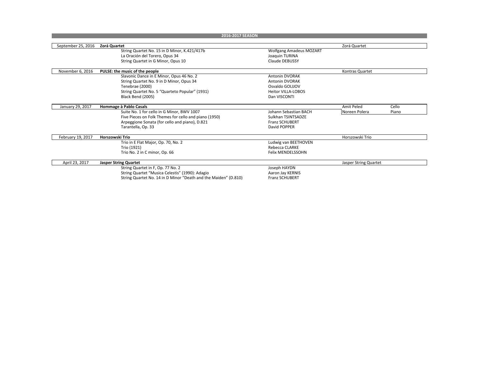|                    | 2016-2017 SEASON                                                  |                                |                       |       |
|--------------------|-------------------------------------------------------------------|--------------------------------|-----------------------|-------|
|                    |                                                                   |                                |                       |       |
| September 25, 2016 | Zorá Quartet                                                      |                                | Zorá Quartet          |       |
|                    | String Quartet No. 15 in D Minor, K.421/417b                      | <b>Wolfgang Amadeus MOZART</b> |                       |       |
|                    | La Oración del Torero, Opus 34                                    | Joaquin TURINA                 |                       |       |
|                    | String Quartet in G Minor, Opus 10                                | <b>Claude DEBUSSY</b>          |                       |       |
|                    |                                                                   |                                |                       |       |
| November 6, 2016   | PULSE: the music of the people                                    |                                | Kontras Quartet       |       |
|                    | Slavonic Dance in E Minor, Opus 46 No. 2                          | <b>Antonin DVORAK</b>          |                       |       |
|                    | String Quartet No. 9 in D Minor, Opus 34                          | Antonin DVORAK                 |                       |       |
|                    | Tenebrae (2000)                                                   | Osvaldo GOLIJOV                |                       |       |
|                    | String Quartet No. 5 "Quarteto Popular" (1931)                    | <b>Heitor VILLA-LOBOS</b>      |                       |       |
|                    | Black Bend (2005)                                                 | Dan VISCONTI                   |                       |       |
| January 29, 2017   | Hommage à Pablo Casals                                            |                                | Amit Peled            | Cello |
|                    | Suite No. 1 for cello in G Minor, BWV 1007                        | Johann Sebastian BACH          | Noreen Polera         | Piano |
|                    | Five Pieces on Folk Themes for cello and piano (1950)             | Sulkhan TSINTSADZE             |                       |       |
|                    |                                                                   | <b>Franz SCHUBERT</b>          |                       |       |
|                    | Arpeggione Sonata (for cello and piano), D.821                    | David POPPER                   |                       |       |
|                    | Tarantella, Op. 33                                                |                                |                       |       |
| February 19, 2017  | Horszowski Trio                                                   |                                | Horszowski Trio       |       |
|                    | Trio in E Flat Major, Op. 70, No. 2                               | Ludwig van BEETHOVEN           |                       |       |
|                    | Trio (1921)                                                       | Rebecca CLARKE                 |                       |       |
|                    | Trio No. 2 in C minor, Op. 66                                     | <b>Felix MENDELSSOHN</b>       |                       |       |
| April 23, 2017     |                                                                   |                                |                       |       |
|                    | <b>Jasper String Quartet</b><br>String Quartet in F, Op. 77 No. 2 | Joseph HAYDN                   | Jasper String Quartet |       |
|                    |                                                                   |                                |                       |       |
|                    | String Quartet "Musica Celestis" (1990): Adagio                   | Aaron Jay KERNIS               |                       |       |
|                    | String Quartet No. 14 in D Minor "Death and the Maiden" (D.810)   | <b>Franz SCHUBERT</b>          |                       |       |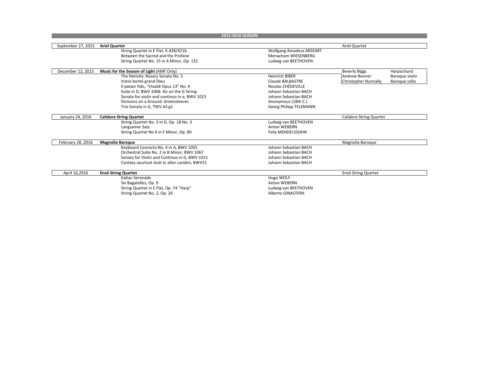|                    | 2015-2016 SEASON                              |                                |                                |                |
|--------------------|-----------------------------------------------|--------------------------------|--------------------------------|----------------|
|                    |                                               |                                |                                |                |
| September 27, 2015 | <b>Ariel Quartet</b>                          |                                | Ariel Quartet                  |                |
|                    | String Quartet in E Flat, K.428/421b          | <b>Wolfgang Amadeus MOZART</b> |                                |                |
|                    | Between the Sacred and the Profane            | Menachem WIESENBERG            |                                |                |
|                    | String Quartet No. 15 in A Minor, Op. 132     | Ludwig van BEETHOVEN           |                                |                |
|                    |                                               |                                |                                |                |
| December 12, 2015  | Music for the Season of Light (AMF Only)      |                                | <b>Beverly Biggs</b>           | Harpsichord    |
|                    | The Nativity: Rosary Sonata No. 3             | <b>Heinrich BIBER</b>          | <b>Andrew Bonner</b>           | Baroque violin |
|                    | Votre bonté grand Dieu                        | <b>Claude BALBASTRE</b>        | Christopher Nunnally           | Baroque cello  |
|                    | Il pastor fido, "Vivaldi Opus 13" No. 4       | Nicolas CHÉDEVILLE             |                                |                |
|                    | Suite in D, BWV 1068: Air on the G String     | Johann Sebastian BACH          |                                |                |
|                    | Sonata for violin and continuo in e, BWV 1023 | Johann Sebastian BACH          |                                |                |
|                    | Divisions on a Ground: Greensleeves           | Anonymous (18th C.)            |                                |                |
|                    | Trio Sonata in G, TWV 42:g1                   | Georg Philipp TELEMANN         |                                |                |
| January 24, 2016   | <b>Calidore String Quartet</b>                |                                | <b>Calidore String Quartet</b> |                |
|                    | String Quartet No. 3 in D, Op. 18 No. 3       | Ludwig van BEETHOVEN           |                                |                |
|                    | Langsamer Satz                                | <b>Anton WEBERN</b>            |                                |                |
|                    | String Quartet No 6 in F Minor, Op. 80        | <b>Felix MENDELSSOHN</b>       |                                |                |
|                    |                                               |                                |                                |                |
| February 28, 2016  | <b>Magnolia Baroque</b>                       |                                | Magnolia Baroque               |                |
|                    | Keyboard Concerto No. 4 in A, BWV 1055        | Johann Sebastian BACH          |                                |                |
|                    | Orchestral Suite No. 2 in B Minor, BWV 1067   | Johann Sebastian BACH          |                                |                |
|                    | Sonata for Violin and Continuo in G, BWV 1021 | Johann Sebastian BACH          |                                |                |
|                    | Cantata Jauchzet Gott in allen Landen, BWV51  | Johann Sebastian BACH          |                                |                |
| April 16,2016      | <b>Ensö String Quartet</b>                    |                                | Ensō String Quartet            |                |
|                    | Italian Serenade                              | Hugo WOLF                      |                                |                |
|                    | Six Bagatelles, Op. 9                         | <b>Anton WEBERN</b>            |                                |                |
|                    | String Quartet in E Flat, Op. 74 "Harp"       | Ludwig van BEETHOVEN           |                                |                |
|                    | String Quartet No. 2, Op. 26                  | Alberto GINASTERA              |                                |                |
|                    |                                               |                                |                                |                |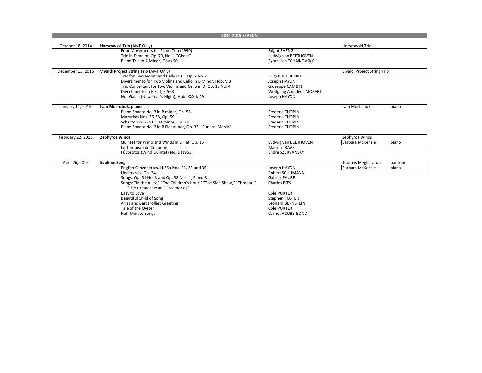| October 18, 2014<br>Horszowski Trio (AMF Only)<br>Horszowski Trio<br>Four Movements for Piano Trio (1990)<br><b>Bright SHENG</b><br>Trio in D major, Op. 70, No. 1 "Ghost"<br>Ludwig van BEETHOVEN<br>Piano Trio in A Minor, Opus 50<br>Pyotr Ilich TCHAIKOVSKY<br>December 13, 2015<br>Vivaldi Project String Trio<br>Vivaldi Project String Trio (AMF Only)<br>Trio for Two Violins and Cello in D, Op. 2 No. 4<br>Luigi BOCCHERINI |  |
|---------------------------------------------------------------------------------------------------------------------------------------------------------------------------------------------------------------------------------------------------------------------------------------------------------------------------------------------------------------------------------------------------------------------------------------|--|
|                                                                                                                                                                                                                                                                                                                                                                                                                                       |  |
|                                                                                                                                                                                                                                                                                                                                                                                                                                       |  |
|                                                                                                                                                                                                                                                                                                                                                                                                                                       |  |
|                                                                                                                                                                                                                                                                                                                                                                                                                                       |  |
|                                                                                                                                                                                                                                                                                                                                                                                                                                       |  |
|                                                                                                                                                                                                                                                                                                                                                                                                                                       |  |
|                                                                                                                                                                                                                                                                                                                                                                                                                                       |  |
| Divertimento for Two Violins and Cello in B Minor, Hob. V:3<br>Joseph HAYDN                                                                                                                                                                                                                                                                                                                                                           |  |
| Trio Concertant for Two Violins and Cello in D, Op. 18 No. 4<br>Giuseppe CAMBINI                                                                                                                                                                                                                                                                                                                                                      |  |
| Divertimento in E Flat, K.563<br><b>Wolfgang Amadeus MOZART</b>                                                                                                                                                                                                                                                                                                                                                                       |  |
| Nos Galan (New Year's Night), Hob. XXXIb:29<br>Joseph HAYDN                                                                                                                                                                                                                                                                                                                                                                           |  |
| January 11, 2015<br>Ivan Moshchuk, piano<br>Ivan Moshchuk<br>piano                                                                                                                                                                                                                                                                                                                                                                    |  |
| Piano Sonata No. 3 in B minor, Op. 58<br>Frederic CHOPIN                                                                                                                                                                                                                                                                                                                                                                              |  |
| Mazurkas Nos. 36-38, Op. 59<br>Frederic CHOPIN                                                                                                                                                                                                                                                                                                                                                                                        |  |
| Scherzo No. 2 in B Flat minor, Op. 31<br>Frederic CHOPIN                                                                                                                                                                                                                                                                                                                                                                              |  |
| Piano Sonata No. 2 in B Flat minor, Op. 35 "Funeral March"<br>Frederic CHOPIN                                                                                                                                                                                                                                                                                                                                                         |  |
|                                                                                                                                                                                                                                                                                                                                                                                                                                       |  |
| February 22, 2015<br><b>Zephyros Winds</b><br>Zephyros Winds                                                                                                                                                                                                                                                                                                                                                                          |  |
| Quintet for Piano and Winds in E Flat, Op. 16<br>Ludwig van BEETHOVEN<br>Barbara McKenzie<br>piano                                                                                                                                                                                                                                                                                                                                    |  |
| Le Tombeau de Couperin<br>Maurice RAVEL                                                                                                                                                                                                                                                                                                                                                                                               |  |
| Fúvósötös (Wind Quintet) No. 1 (1953)<br>Endre SZERVANSKY                                                                                                                                                                                                                                                                                                                                                                             |  |
| April 26, 2015<br><b>Sublime Song</b><br>Thomas Meglioranza<br>baritone                                                                                                                                                                                                                                                                                                                                                               |  |
| English Canzonettas, H.26a Nos. 31, 33 and 35<br>Joseph HAYDN<br>Barbara McKenzie<br>piano                                                                                                                                                                                                                                                                                                                                            |  |
| Liederkreis, Op. 24<br><b>Robert SCHUMANN</b>                                                                                                                                                                                                                                                                                                                                                                                         |  |
| Songs, Op. 51 No. 3 and Op. 58 Nos. 1, 2 and 3<br><b>Gabriel FAURE</b>                                                                                                                                                                                                                                                                                                                                                                |  |
| Songs: "In the Alley," "The Children's Hour," "The Side Show," "Thoreau,"<br><b>Charles IVES</b><br>"The Greatest Man." "Memories"                                                                                                                                                                                                                                                                                                    |  |
| Easy to Love<br><b>Cole PORTER</b>                                                                                                                                                                                                                                                                                                                                                                                                    |  |
| Beautiful Child of Song<br>Stephen FOSTER                                                                                                                                                                                                                                                                                                                                                                                             |  |
| Arias and Barcarolles: Greeting<br><b>Leonard BERNSTEIN</b>                                                                                                                                                                                                                                                                                                                                                                           |  |
| Tale of the Oyster<br>Cole PORTER                                                                                                                                                                                                                                                                                                                                                                                                     |  |
| <b>Half-Minute Songs</b><br>Carrie JACOBS-BOND                                                                                                                                                                                                                                                                                                                                                                                        |  |
|                                                                                                                                                                                                                                                                                                                                                                                                                                       |  |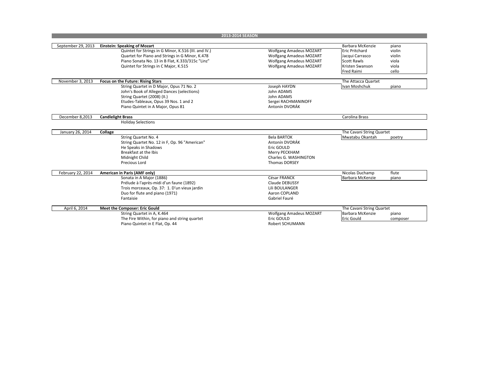| September 29, 2013<br><b>Einstein: Speaking of Mozart</b><br>Barbara McKenzie<br>piano<br>Quintet for Strings in G Minor, K.516 (III. and IV.)<br><b>Wolfgang Amadeus MOZART</b><br>violin<br><b>Eric Pritchard</b><br>Quartet for Piano and Strings in G Minor, K.478<br><b>Wolfgang Amadeus MOZART</b><br>Jacqui Carrasco<br>violin<br>Piano Sonata No. 13 in B Flat, K.333/315c "Linz"<br><b>Wolfgang Amadeus MOZART</b><br><b>Scott Rawls</b><br>viola<br>Quintet for Strings in C Major, K.515<br><b>Wolfgang Amadeus MOZART</b><br>Kristen Swanson<br>viola<br>Fred Raimi<br>cello<br>November 3, 2013<br>The Attacca Quartet<br>Focus on the Future: Rising Stars<br>String Quartet in D Major, Opus 71 No. 2<br>Joseph HAYDN<br>Ivan Moshchuk<br>piano<br>John's Book of Alleged Dances (selections)<br>John ADAMS<br>String Quartet (2008) (II.)<br>John ADAMS<br>Etudes-Tableaux, Opus 39 Nos. 1 and 2<br>Sergei RACHMANINOFF<br>Antonín DVORÁK<br>Piano Quintet in A Major, Opus 81<br>December 8,2013<br><b>Candlelight Brass</b><br>Carolina Brass<br><b>Holiday Selections</b><br>January 26, 2014<br>The Cavani String Quartet<br>Collage<br>String Quartet No. 4<br><b>Bela BARTOK</b><br>Mwatabu Okantah<br>poetry<br>String Quartet No. 12 in F, Op. 96 "American"<br>Antonín DVORÁK<br>He Speaks in Shadows<br>Eric GOULD<br>Breakfast at the Ibis<br>Merry PECKHAM<br>Charles G. WASHINGTON<br>Midnight Child<br>Precious Lord<br><b>Thomas DORSEY</b><br>February 22, 2014<br>American in Paris (AMF only)<br>flute<br>Nicolas Duchamp<br>Sonata in A Major (1886)<br>César FRANCK<br><b>Barbara McKenzie</b><br>piano<br>Prélude à l'après-midi d'un faune (1892)<br>Claude DEBUSSY<br>Trois morceaux, Op. 37: 1. D'un vieux jardin<br>Lili BOULANGER<br>Duo for flute and piano (1971)<br>Aaron COPLAND<br>Gabriel Fauré<br>Fantaisie<br>April 6, 2014<br>Meet the Composer: Eric Gould<br>The Cavani String Quartet<br>String Quartet in A, K.464<br><b>Wolfgang Amadeus MOZART</b><br>Barbara McKenzie<br>piano<br>The Fire Within, for piano and string quartet<br>Eric GOULD<br><b>Eric Gould</b><br>composer<br>Piano Quintet in E Flat, Op. 44<br><b>Robert SCHUMANN</b> |  | 2013-2014 SEASON |  |
|-------------------------------------------------------------------------------------------------------------------------------------------------------------------------------------------------------------------------------------------------------------------------------------------------------------------------------------------------------------------------------------------------------------------------------------------------------------------------------------------------------------------------------------------------------------------------------------------------------------------------------------------------------------------------------------------------------------------------------------------------------------------------------------------------------------------------------------------------------------------------------------------------------------------------------------------------------------------------------------------------------------------------------------------------------------------------------------------------------------------------------------------------------------------------------------------------------------------------------------------------------------------------------------------------------------------------------------------------------------------------------------------------------------------------------------------------------------------------------------------------------------------------------------------------------------------------------------------------------------------------------------------------------------------------------------------------------------------------------------------------------------------------------------------------------------------------------------------------------------------------------------------------------------------------------------------------------------------------------------------------------------------------------------------------------------------------------------------------------------------------------------------------------------------------------------------------------|--|------------------|--|
|                                                                                                                                                                                                                                                                                                                                                                                                                                                                                                                                                                                                                                                                                                                                                                                                                                                                                                                                                                                                                                                                                                                                                                                                                                                                                                                                                                                                                                                                                                                                                                                                                                                                                                                                                                                                                                                                                                                                                                                                                                                                                                                                                                                                       |  |                  |  |
|                                                                                                                                                                                                                                                                                                                                                                                                                                                                                                                                                                                                                                                                                                                                                                                                                                                                                                                                                                                                                                                                                                                                                                                                                                                                                                                                                                                                                                                                                                                                                                                                                                                                                                                                                                                                                                                                                                                                                                                                                                                                                                                                                                                                       |  |                  |  |
|                                                                                                                                                                                                                                                                                                                                                                                                                                                                                                                                                                                                                                                                                                                                                                                                                                                                                                                                                                                                                                                                                                                                                                                                                                                                                                                                                                                                                                                                                                                                                                                                                                                                                                                                                                                                                                                                                                                                                                                                                                                                                                                                                                                                       |  |                  |  |
|                                                                                                                                                                                                                                                                                                                                                                                                                                                                                                                                                                                                                                                                                                                                                                                                                                                                                                                                                                                                                                                                                                                                                                                                                                                                                                                                                                                                                                                                                                                                                                                                                                                                                                                                                                                                                                                                                                                                                                                                                                                                                                                                                                                                       |  |                  |  |
|                                                                                                                                                                                                                                                                                                                                                                                                                                                                                                                                                                                                                                                                                                                                                                                                                                                                                                                                                                                                                                                                                                                                                                                                                                                                                                                                                                                                                                                                                                                                                                                                                                                                                                                                                                                                                                                                                                                                                                                                                                                                                                                                                                                                       |  |                  |  |
|                                                                                                                                                                                                                                                                                                                                                                                                                                                                                                                                                                                                                                                                                                                                                                                                                                                                                                                                                                                                                                                                                                                                                                                                                                                                                                                                                                                                                                                                                                                                                                                                                                                                                                                                                                                                                                                                                                                                                                                                                                                                                                                                                                                                       |  |                  |  |
|                                                                                                                                                                                                                                                                                                                                                                                                                                                                                                                                                                                                                                                                                                                                                                                                                                                                                                                                                                                                                                                                                                                                                                                                                                                                                                                                                                                                                                                                                                                                                                                                                                                                                                                                                                                                                                                                                                                                                                                                                                                                                                                                                                                                       |  |                  |  |
|                                                                                                                                                                                                                                                                                                                                                                                                                                                                                                                                                                                                                                                                                                                                                                                                                                                                                                                                                                                                                                                                                                                                                                                                                                                                                                                                                                                                                                                                                                                                                                                                                                                                                                                                                                                                                                                                                                                                                                                                                                                                                                                                                                                                       |  |                  |  |
|                                                                                                                                                                                                                                                                                                                                                                                                                                                                                                                                                                                                                                                                                                                                                                                                                                                                                                                                                                                                                                                                                                                                                                                                                                                                                                                                                                                                                                                                                                                                                                                                                                                                                                                                                                                                                                                                                                                                                                                                                                                                                                                                                                                                       |  |                  |  |
|                                                                                                                                                                                                                                                                                                                                                                                                                                                                                                                                                                                                                                                                                                                                                                                                                                                                                                                                                                                                                                                                                                                                                                                                                                                                                                                                                                                                                                                                                                                                                                                                                                                                                                                                                                                                                                                                                                                                                                                                                                                                                                                                                                                                       |  |                  |  |
|                                                                                                                                                                                                                                                                                                                                                                                                                                                                                                                                                                                                                                                                                                                                                                                                                                                                                                                                                                                                                                                                                                                                                                                                                                                                                                                                                                                                                                                                                                                                                                                                                                                                                                                                                                                                                                                                                                                                                                                                                                                                                                                                                                                                       |  |                  |  |
|                                                                                                                                                                                                                                                                                                                                                                                                                                                                                                                                                                                                                                                                                                                                                                                                                                                                                                                                                                                                                                                                                                                                                                                                                                                                                                                                                                                                                                                                                                                                                                                                                                                                                                                                                                                                                                                                                                                                                                                                                                                                                                                                                                                                       |  |                  |  |
|                                                                                                                                                                                                                                                                                                                                                                                                                                                                                                                                                                                                                                                                                                                                                                                                                                                                                                                                                                                                                                                                                                                                                                                                                                                                                                                                                                                                                                                                                                                                                                                                                                                                                                                                                                                                                                                                                                                                                                                                                                                                                                                                                                                                       |  |                  |  |
|                                                                                                                                                                                                                                                                                                                                                                                                                                                                                                                                                                                                                                                                                                                                                                                                                                                                                                                                                                                                                                                                                                                                                                                                                                                                                                                                                                                                                                                                                                                                                                                                                                                                                                                                                                                                                                                                                                                                                                                                                                                                                                                                                                                                       |  |                  |  |
|                                                                                                                                                                                                                                                                                                                                                                                                                                                                                                                                                                                                                                                                                                                                                                                                                                                                                                                                                                                                                                                                                                                                                                                                                                                                                                                                                                                                                                                                                                                                                                                                                                                                                                                                                                                                                                                                                                                                                                                                                                                                                                                                                                                                       |  |                  |  |
|                                                                                                                                                                                                                                                                                                                                                                                                                                                                                                                                                                                                                                                                                                                                                                                                                                                                                                                                                                                                                                                                                                                                                                                                                                                                                                                                                                                                                                                                                                                                                                                                                                                                                                                                                                                                                                                                                                                                                                                                                                                                                                                                                                                                       |  |                  |  |
|                                                                                                                                                                                                                                                                                                                                                                                                                                                                                                                                                                                                                                                                                                                                                                                                                                                                                                                                                                                                                                                                                                                                                                                                                                                                                                                                                                                                                                                                                                                                                                                                                                                                                                                                                                                                                                                                                                                                                                                                                                                                                                                                                                                                       |  |                  |  |
|                                                                                                                                                                                                                                                                                                                                                                                                                                                                                                                                                                                                                                                                                                                                                                                                                                                                                                                                                                                                                                                                                                                                                                                                                                                                                                                                                                                                                                                                                                                                                                                                                                                                                                                                                                                                                                                                                                                                                                                                                                                                                                                                                                                                       |  |                  |  |
|                                                                                                                                                                                                                                                                                                                                                                                                                                                                                                                                                                                                                                                                                                                                                                                                                                                                                                                                                                                                                                                                                                                                                                                                                                                                                                                                                                                                                                                                                                                                                                                                                                                                                                                                                                                                                                                                                                                                                                                                                                                                                                                                                                                                       |  |                  |  |
|                                                                                                                                                                                                                                                                                                                                                                                                                                                                                                                                                                                                                                                                                                                                                                                                                                                                                                                                                                                                                                                                                                                                                                                                                                                                                                                                                                                                                                                                                                                                                                                                                                                                                                                                                                                                                                                                                                                                                                                                                                                                                                                                                                                                       |  |                  |  |
|                                                                                                                                                                                                                                                                                                                                                                                                                                                                                                                                                                                                                                                                                                                                                                                                                                                                                                                                                                                                                                                                                                                                                                                                                                                                                                                                                                                                                                                                                                                                                                                                                                                                                                                                                                                                                                                                                                                                                                                                                                                                                                                                                                                                       |  |                  |  |
|                                                                                                                                                                                                                                                                                                                                                                                                                                                                                                                                                                                                                                                                                                                                                                                                                                                                                                                                                                                                                                                                                                                                                                                                                                                                                                                                                                                                                                                                                                                                                                                                                                                                                                                                                                                                                                                                                                                                                                                                                                                                                                                                                                                                       |  |                  |  |
|                                                                                                                                                                                                                                                                                                                                                                                                                                                                                                                                                                                                                                                                                                                                                                                                                                                                                                                                                                                                                                                                                                                                                                                                                                                                                                                                                                                                                                                                                                                                                                                                                                                                                                                                                                                                                                                                                                                                                                                                                                                                                                                                                                                                       |  |                  |  |
|                                                                                                                                                                                                                                                                                                                                                                                                                                                                                                                                                                                                                                                                                                                                                                                                                                                                                                                                                                                                                                                                                                                                                                                                                                                                                                                                                                                                                                                                                                                                                                                                                                                                                                                                                                                                                                                                                                                                                                                                                                                                                                                                                                                                       |  |                  |  |
|                                                                                                                                                                                                                                                                                                                                                                                                                                                                                                                                                                                                                                                                                                                                                                                                                                                                                                                                                                                                                                                                                                                                                                                                                                                                                                                                                                                                                                                                                                                                                                                                                                                                                                                                                                                                                                                                                                                                                                                                                                                                                                                                                                                                       |  |                  |  |
|                                                                                                                                                                                                                                                                                                                                                                                                                                                                                                                                                                                                                                                                                                                                                                                                                                                                                                                                                                                                                                                                                                                                                                                                                                                                                                                                                                                                                                                                                                                                                                                                                                                                                                                                                                                                                                                                                                                                                                                                                                                                                                                                                                                                       |  |                  |  |
|                                                                                                                                                                                                                                                                                                                                                                                                                                                                                                                                                                                                                                                                                                                                                                                                                                                                                                                                                                                                                                                                                                                                                                                                                                                                                                                                                                                                                                                                                                                                                                                                                                                                                                                                                                                                                                                                                                                                                                                                                                                                                                                                                                                                       |  |                  |  |
|                                                                                                                                                                                                                                                                                                                                                                                                                                                                                                                                                                                                                                                                                                                                                                                                                                                                                                                                                                                                                                                                                                                                                                                                                                                                                                                                                                                                                                                                                                                                                                                                                                                                                                                                                                                                                                                                                                                                                                                                                                                                                                                                                                                                       |  |                  |  |
|                                                                                                                                                                                                                                                                                                                                                                                                                                                                                                                                                                                                                                                                                                                                                                                                                                                                                                                                                                                                                                                                                                                                                                                                                                                                                                                                                                                                                                                                                                                                                                                                                                                                                                                                                                                                                                                                                                                                                                                                                                                                                                                                                                                                       |  |                  |  |
|                                                                                                                                                                                                                                                                                                                                                                                                                                                                                                                                                                                                                                                                                                                                                                                                                                                                                                                                                                                                                                                                                                                                                                                                                                                                                                                                                                                                                                                                                                                                                                                                                                                                                                                                                                                                                                                                                                                                                                                                                                                                                                                                                                                                       |  |                  |  |
|                                                                                                                                                                                                                                                                                                                                                                                                                                                                                                                                                                                                                                                                                                                                                                                                                                                                                                                                                                                                                                                                                                                                                                                                                                                                                                                                                                                                                                                                                                                                                                                                                                                                                                                                                                                                                                                                                                                                                                                                                                                                                                                                                                                                       |  |                  |  |
|                                                                                                                                                                                                                                                                                                                                                                                                                                                                                                                                                                                                                                                                                                                                                                                                                                                                                                                                                                                                                                                                                                                                                                                                                                                                                                                                                                                                                                                                                                                                                                                                                                                                                                                                                                                                                                                                                                                                                                                                                                                                                                                                                                                                       |  |                  |  |
|                                                                                                                                                                                                                                                                                                                                                                                                                                                                                                                                                                                                                                                                                                                                                                                                                                                                                                                                                                                                                                                                                                                                                                                                                                                                                                                                                                                                                                                                                                                                                                                                                                                                                                                                                                                                                                                                                                                                                                                                                                                                                                                                                                                                       |  |                  |  |
|                                                                                                                                                                                                                                                                                                                                                                                                                                                                                                                                                                                                                                                                                                                                                                                                                                                                                                                                                                                                                                                                                                                                                                                                                                                                                                                                                                                                                                                                                                                                                                                                                                                                                                                                                                                                                                                                                                                                                                                                                                                                                                                                                                                                       |  |                  |  |
|                                                                                                                                                                                                                                                                                                                                                                                                                                                                                                                                                                                                                                                                                                                                                                                                                                                                                                                                                                                                                                                                                                                                                                                                                                                                                                                                                                                                                                                                                                                                                                                                                                                                                                                                                                                                                                                                                                                                                                                                                                                                                                                                                                                                       |  |                  |  |
|                                                                                                                                                                                                                                                                                                                                                                                                                                                                                                                                                                                                                                                                                                                                                                                                                                                                                                                                                                                                                                                                                                                                                                                                                                                                                                                                                                                                                                                                                                                                                                                                                                                                                                                                                                                                                                                                                                                                                                                                                                                                                                                                                                                                       |  |                  |  |
|                                                                                                                                                                                                                                                                                                                                                                                                                                                                                                                                                                                                                                                                                                                                                                                                                                                                                                                                                                                                                                                                                                                                                                                                                                                                                                                                                                                                                                                                                                                                                                                                                                                                                                                                                                                                                                                                                                                                                                                                                                                                                                                                                                                                       |  |                  |  |
|                                                                                                                                                                                                                                                                                                                                                                                                                                                                                                                                                                                                                                                                                                                                                                                                                                                                                                                                                                                                                                                                                                                                                                                                                                                                                                                                                                                                                                                                                                                                                                                                                                                                                                                                                                                                                                                                                                                                                                                                                                                                                                                                                                                                       |  |                  |  |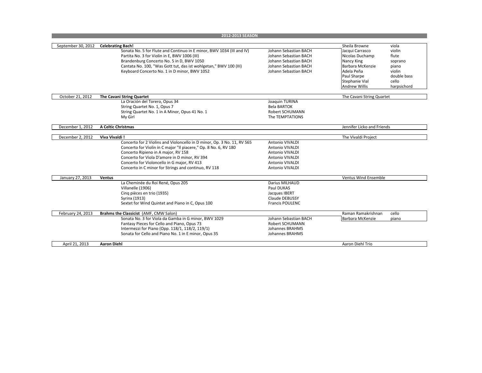|                    | 2012-2013 SEASON                                                        |                        |                            |             |
|--------------------|-------------------------------------------------------------------------|------------------------|----------------------------|-------------|
|                    |                                                                         |                        |                            |             |
| September 30, 2012 | <b>Celebrating Bach!</b>                                                |                        | Sheila Browne              | viola       |
|                    | Sonata No. 5 for Flute and Continuo in E minor, BWV 1034 (III and IV)   | Johann Sebastian BACH  | Jacqui Carrasco            | violin      |
|                    | Partita No. 3 for Violin in E, BWV 1006 (III)                           | Johann Sebastian BACH  | Nicolas Duchamp            | flute       |
|                    | Brandenburg Concerto No. 5 in D, BWV 1050                               | Johann Sebastian BACH  | Nancy King                 | soprano     |
|                    | Cantata No. 100, "Was Gott tut, das ist wohlgetan," BWV 100 (III)       | Johann Sebastian BACH  | Barbara McKenzie           | piano       |
|                    | Keyboard Concerto No. 1 in D minor, BWV 1052                            | Johann Sebastian BACH  | Adela Peña                 | violin      |
|                    |                                                                         |                        | Paul Sharpe                | double bass |
|                    |                                                                         |                        | Stephanie Vial             | cello       |
|                    |                                                                         |                        | <b>Andrew Willis</b>       | harpsichord |
| October 21, 2012   | The Cavani String Quartet                                               |                        | The Cavani String Quartet  |             |
|                    | La Oración del Torero, Opus 34                                          | Joaquin TURINA         |                            |             |
|                    | String Quartet No. 1, Opus 7                                            | <b>Bela BARTOK</b>     |                            |             |
|                    | String Quartet No. 1 in A Minor, Opus 41 No. 1                          | Robert SCHUMANN        |                            |             |
|                    | My Girl                                                                 | The TEMPTATIONS        |                            |             |
|                    |                                                                         |                        |                            |             |
| December 1, 2012   | A Celtic Christmas                                                      |                        | Jennifer Licko and Friends |             |
|                    |                                                                         |                        |                            |             |
| December 2, 2012   | Viva Vivaldi!                                                           |                        | The Vivaldi Project        |             |
|                    | Concerto for 2 Violins and Violoncello in D minor, Op. 3 No. 11, RV 565 | Antonio VIVALDI        |                            |             |
|                    | Concerto for Violin in C major "Il piacere," Op. 8 No. 6, RV 180        | Antonio VIVALDI        |                            |             |
|                    | Concerto Ripieno in A major, RV 158                                     | Antonio VIVALDI        |                            |             |
|                    | Concerto for Viola D'amore in D minor, RV 394                           | Antonio VIVALDI        |                            |             |
|                    | Concerto for Violoncello in G major, RV 413                             | Antonio VIVALDI        |                            |             |
|                    | Concerto in C minor for Strings and continuo, RV 118                    | <b>Antonio VIVALDI</b> |                            |             |
| January 27, 2013   | <b>Ventus</b>                                                           |                        | Ventus Wind Ensemble       |             |
|                    | La Cheminée du Roi René, Opus 205                                       | Darius MILHAUD         |                            |             |
|                    | Villanelle (1906)                                                       | Paul DUKAS             |                            |             |
|                    | Cinq pièces en trio (1935)                                              | Jacques IBERT          |                            |             |
|                    | Syrinx (1913)                                                           | Claude DEBUSSY         |                            |             |
|                    | Sextet for Wind Quintet and Piano in C, Opus 100                        | <b>Francis POULENC</b> |                            |             |
|                    |                                                                         |                        |                            |             |
| February 24, 2013  | Brahms the Classicist (AMF, CMW Salon)                                  |                        | Raman Ramakrishnan         | cello       |
|                    | Sonata No. 3 for Viola da Gamba in G minor, BWV 1029                    | Johann Sebastian BACH  | Barbara McKenzie           | piano       |
|                    | Fantasy Pieces for Cello and Piano, Opus 73                             | <b>Robert SCHUMANN</b> |                            |             |
|                    | Intermezzi for Piano (Opp. 118/1, 118/2, 119/1)                         | Johannes BRAHMS        |                            |             |
|                    | Sonata for Cello and Piano No. 1 in E minor, Opus 35                    | Johannes BRAHMS        |                            |             |
| April 21, 2013     | <b>Aaron Diehl</b>                                                      |                        | Aaron Diehl Trio           |             |
|                    |                                                                         |                        |                            |             |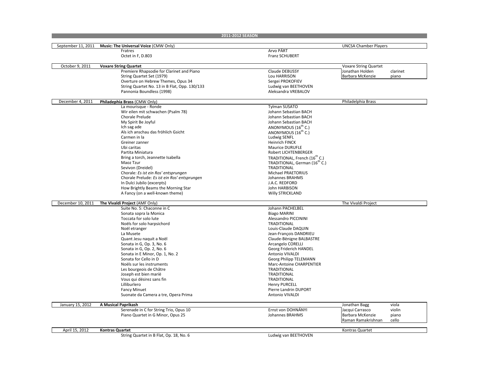|                    |                                               | 2011-2012 SEASON                               |                              |          |
|--------------------|-----------------------------------------------|------------------------------------------------|------------------------------|----------|
| September 11, 2011 | Music: The Universal Voice (CMW Only)         |                                                | <b>UNCSA Chamber Players</b> |          |
|                    | Fratres                                       | Arvo PÄRT                                      |                              |          |
|                    | Octet in F, D.803                             | <b>Franz SCHUBERT</b>                          |                              |          |
|                    |                                               |                                                |                              |          |
| October 9, 2011    | <b>Voxare String Quartet</b>                  |                                                | <b>Voxare String Quartet</b> |          |
|                    | Premiere Rhapsodie for Clarinet and Piano     | <b>Claude DEBUSSY</b>                          | Jonathan Holden              | clarinet |
|                    | String Quartet Set (1979)                     | Lou HARRISON                                   | Barbara McKenzie             | piano    |
|                    | Overture on Hebrew Themes, Opus 34            | Sergei PROKOFIEV                               |                              |          |
|                    | String Quartet No. 13 in B Flat, Opp. 130/133 | Ludwig van BEETHOVEN                           |                              |          |
|                    | Pannonia Boundless (1998)                     | Aleksandra VREBALOV                            |                              |          |
|                    |                                               |                                                |                              |          |
| December 4, 2011   | Philadephia Brass (CMW Only)                  |                                                | Philadelphia Brass           |          |
|                    | La mourisque - Ronde                          | Tylman SUSATO                                  |                              |          |
|                    | Wir eilen mit schwachen (Psalm 78)            | Johann Sebastian BACH                          |                              |          |
|                    | Chorale Prelude                               | Johann Sebastian BACH<br>Johann Sebastian BACH |                              |          |
|                    | My Spirit Be Joyful<br>Ich sag ade            | ANONYMOUS $(16^{th} C.)$                       |                              |          |
|                    | Als ich anschau das fröhlich Gsicht           | ANONYMOUS (16 <sup>th</sup> C.)                |                              |          |
|                    | Carmen in la                                  | Ludwig SENFL                                   |                              |          |
|                    | Greiner zanner                                | <b>Heinrich FINCK</b>                          |                              |          |
|                    | Ubi caritas                                   | <b>Maurice DURUFLE</b>                         |                              |          |
|                    | Partita Miniatura                             | Robert LICHTENBERGER                           |                              |          |
|                    | Bring a torch, Jeannette Isabella             | TRADITIONAL, French (16 <sup>th</sup> C.)      |                              |          |
|                    | Maoz Tzur                                     | TRADITIONAL, German (16 <sup>th</sup> C.)      |                              |          |
|                    | Sevivon (Dreidel)                             | <b>TRADITIONAL</b>                             |                              |          |
|                    | Chorale: Es ist ein Ros' entsprungen          | Michael PRAETORIUS                             |                              |          |
|                    | Chorale Prelude: Es ist ein Ros' entsprungen  | Johannes BRAHMS                                |                              |          |
|                    | In Dulci Jubilo (excerpts)                    | J.A.C. REDFORD                                 |                              |          |
|                    | How Brightly Beams the Morning Star           | John HARBISON                                  |                              |          |
|                    | A Fancy (on a well-known theme)               | Willy STRICKLAND                               |                              |          |
|                    |                                               |                                                |                              |          |
| December 10, 2011  | The Vivaldi Project (AMF Only)                |                                                | The Vivaldi Project          |          |
|                    | Suite No. 5: Chaconne in C                    | Johann PACHELBEL                               |                              |          |
|                    | Sonata sopra la Monica                        | <b>Biago MARINI</b>                            |                              |          |
|                    | Toccata for solo lute                         | Alessandro PICCININI                           |                              |          |
|                    | Noëls for solo harpsichord                    | TRADITIONAL                                    |                              |          |
|                    | Noël etranger                                 | Louis-Claude DAQUIN                            |                              |          |
|                    | La Musete                                     | Jean-François DANDRIEU                         |                              |          |
|                    | Quant Jesu naquit a Noël                      | Claude-Bënigne BALBASTRE                       |                              |          |
|                    | Sonata in G, Op. 3, No. 6                     | Arcangelo CORELLI                              |                              |          |
|                    | Sonata in G, Op. 2, No. 6                     | Georg Friderich HANDEL                         |                              |          |
|                    | Sonata in E Minor, Op. 1, No. 2               | Antonio VIVALDI                                |                              |          |
|                    | Sonata for Cello in D                         | Georg Philipp TELEMANN                         |                              |          |
|                    | Noëls sur les instruments                     | Marc-Antoine CHARPENTIER                       |                              |          |
|                    | Les bourgeois de Châtre                       | <b>TRADITIONAL</b>                             |                              |          |
|                    | Joseph est bien marië                         | <b>TRADITIONAL</b>                             |                              |          |
|                    | Vous qui dësirez sans fin                     | <b>TRADITIONAL</b>                             |                              |          |
|                    | Lilliburlero                                  | <b>Henry PURCELL</b>                           |                              |          |
|                    | <b>Fancy Minuet</b>                           | Pierre Landrin DUPORT                          |                              |          |
|                    | Suonate da Camera a tre, Opera Prima          | Antonio VIVALDI                                |                              |          |
| January 15, 2012   | A Musical Paprikash                           |                                                | Jonathan Bagg                | viola    |
|                    | Serenade in C for String Trio, Opus 10        | Ernst von DOHNÁNYI                             | Jacqui Carrasco              | violin   |
|                    | Piano Quartet in G Minor, Opus 25             | <b>Johannes BRAHMS</b>                         | Barbara McKenzie             | piano    |
|                    |                                               |                                                | Raman Ramakrishnan           | cello    |
|                    |                                               |                                                |                              |          |
| April 15, 2012     | <b>Kontras Quartet</b>                        |                                                | Kontras Quartet              |          |
|                    | String Quartet in B Flat, Op. 18, No. 6       | Ludwig van BEETHOVEN                           |                              |          |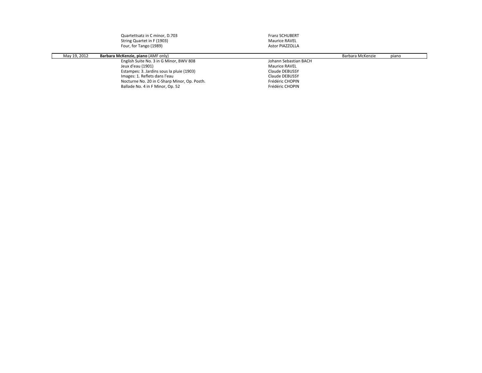|              | Quartettsatz in C minor, D.703            | <b>Franz SCHUBERT</b> |                  |       |
|--------------|-------------------------------------------|-----------------------|------------------|-------|
|              | String Quartet in F (1903)                | Maurice RAVEL         |                  |       |
|              | Four, for Tango (1989)                    | Astor PIAZZOLLA       |                  |       |
|              |                                           |                       |                  |       |
| May 19, 2012 | <b>Barbara McKenzie, piano (AMF only)</b> |                       | Barbara McKenzie | piano |

| May 19, 2012 | Barbara McKenzie, piano (AMF only)           |                       | Barbara McKenzie | piano |
|--------------|----------------------------------------------|-----------------------|------------------|-------|
|              | English Suite No. 3 in G Minor, BWV 808      | Johann Sebastian BACH |                  |       |
|              | Jeux d'eau (1901)                            | <b>Maurice RAVEL</b>  |                  |       |
|              | Estampes: 3. Jardins sous la pluie (1903)    | Claude DEBUSSY        |                  |       |
|              | Images: 1. Reflets dans l'eau                | Claude DEBUSSY        |                  |       |
|              | Nocturne No. 20 in C-Sharp Minor, Op. Posth. | Frédéric CHOPIN       |                  |       |
|              | Ballade No. 4 in F Minor, Op. 52             | Frédéric CHOPIN       |                  |       |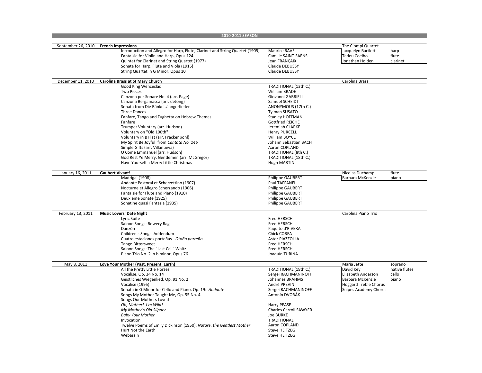|                    | 2010-2011 SEASON                                                             |                               |                                  |
|--------------------|------------------------------------------------------------------------------|-------------------------------|----------------------------------|
|                    |                                                                              |                               |                                  |
| September 26, 2010 | <b>French Impressions</b>                                                    |                               | The Ciompi Quartet               |
|                    | Introduction and Allegro for Harp, Flute, Clarinet and String Quartet (1905) | Maurice RAVEL                 | Jacquelyn Bartlett<br>harp       |
|                    | Fantaisie for Violin and Harp, Opus 124                                      | Camille SAINT-SAËNS           | <b>Tadeu Coelho</b><br>flute     |
|                    | Quintet for Clarinet and String Quartet (1977)                               | Jean FRANCAIX                 | Jonathan Holden<br>clarinet      |
|                    | Sonata for Harp, Flute and Viola (1915)                                      | Claude DEBUSSY                |                                  |
|                    | String Quartet in G Minor, Opus 10                                           | Claude DEBUSSY                |                                  |
|                    |                                                                              |                               |                                  |
|                    |                                                                              |                               |                                  |
| December 11, 2010  | Carolina Brass at St Mary Church                                             |                               | Carolina Brass                   |
|                    | Good King Wenceslas                                                          | TRADITIONAL (13th C.)         |                                  |
|                    | <b>Two Pieces</b>                                                            | William BRADE                 |                                  |
|                    | Canzona per Sonare No. 4 (arr. Page)                                         | Giovanni GABRIELI             |                                  |
|                    | Canzona Bergamasca (arr. deJong)                                             | Samuel SCHEIDT                |                                  |
|                    | Sonata from Die Bänkelsäangerlieder                                          | ANONYMOUS (17th C.)           |                                  |
|                    | Three Dances                                                                 | <b>Tylman SUSATO</b>          |                                  |
|                    | Fanfare, Tango and Fughetta on Hebrew Themes                                 | <b>Stanley HOFFMAN</b>        |                                  |
|                    | Fanfare                                                                      | <b>Gottfried REICHE</b>       |                                  |
|                    | Trumpet Voluntary (arr. Hudson)                                              | Jeremiah CLARKE               |                                  |
|                    | Voluntary on "Old 100th"                                                     | <b>Henry PURCELL</b>          |                                  |
|                    | Voluntary in B Flat (arr. Frackenpohl)                                       | <b>William BOYCE</b>          |                                  |
|                    | My Spirit Be Joyful from Cantata No. 146                                     | Johann Sebastian BACH         |                                  |
|                    | Simple Gifts (arr. Villanueva)                                               | Aaron COPLAND                 |                                  |
|                    |                                                                              |                               |                                  |
|                    | O Come Emmanuel (arr. Hudson)                                                | TRADITIONAL (8th C.)          |                                  |
|                    | God Rest Ye Merry, Gentlemen (arr. McGregor)                                 | TRADITIONAL (18th C.)         |                                  |
|                    | Have Yourself a Merry Little Christmas                                       | Hugh MARTIN                   |                                  |
|                    |                                                                              |                               |                                  |
| January 16, 2011   | <b>Gaubert Vivant!</b>                                                       |                               | Nicolas Duchamp<br>flute         |
|                    | Madrigal (1908)                                                              | Philippe GAUBERT              | <b>Barbara McKenzie</b><br>piano |
|                    | Andante Pastoral et Scherzettino (1907)                                      | Paul TAFFANEL                 |                                  |
|                    | Nocturne et Allegro Scherzando (1906)                                        | Philippe GAUBERT              |                                  |
|                    | Fantaisie for Flute and Piano (1910)                                         | <b>Philippe GAUBERT</b>       |                                  |
|                    | Deuxieme Sonate (1925)                                                       | <b>Philippe GAUBERT</b>       |                                  |
|                    | Sonatine quasi Fantasia (1935)                                               | <b>Philippe GAUBERT</b>       |                                  |
|                    |                                                                              |                               |                                  |
| February 13, 2011  | <b>Music Lovers' Date Night</b>                                              |                               | Carolina Piano Trio              |
|                    | Lyric Suite                                                                  | <b>Fred HERSCH</b>            |                                  |
|                    | Saloon Songs: Bowery Rag                                                     | Fred HERSCH                   |                                  |
|                    | Danzón                                                                       | Paquito d'RIVERA              |                                  |
|                    | Children's Songs: Addendum                                                   | <b>Chick COREA</b>            |                                  |
|                    | Cuatro estaciones porteñas - Otoño porteño                                   | Astor PIAZZOLLA               |                                  |
|                    |                                                                              |                               |                                  |
|                    | <b>Tango Bittersweet</b>                                                     | Fred HERSCH                   |                                  |
|                    | Saloon Songs: The "Last Call" Waltz                                          | Fred HERSCH                   |                                  |
|                    | Piano Trio No. 2 in b minor, Opus 76                                         | Joaquín TURINA                |                                  |
|                    |                                                                              |                               |                                  |
| May 8, 2011        | Love Your Mother (Past, Present, Earth)                                      |                               | Maria Jette<br>soprano           |
|                    | All the Pretty Little Horses                                                 | TRADITIONAL (19th C.)         | native flutes<br>David Key       |
|                    | Vocalise, Op. 34 No. 14                                                      | Sergei RACHMANINOFF           | Elizabeth Anderson<br>cello      |
|                    | Geistliches Wiegenlied, Op. 91 No. 2                                         | Johannes BRAHMS               | Barbara McKenzie<br>piano        |
|                    | Vocalise (1995)                                                              | André PREVIN                  | <b>Hoggard Treble Chorus</b>     |
|                    | Sonata in G Minor for Cello and Piano, Op. 19: Andante                       | Sergei RACHMANINOFF           | <b>Snipes Academy Chorus</b>     |
|                    | Songs My Mother Taught Me, Op. 55 No. 4                                      | Antonín DVORÁK                |                                  |
|                    | Songs Our Mothers Loved                                                      |                               |                                  |
|                    | Oh, Mother! I'm Wild!                                                        | Harry PEASE                   |                                  |
|                    |                                                                              | <b>Charles Carroll SAWYER</b> |                                  |
|                    | My Mother's Old Slipper                                                      |                               |                                  |
|                    | <b>Baby Your Mother</b>                                                      | <b>Joe BURKE</b>              |                                  |
|                    | Invocation                                                                   | <b>TRADITIONAL</b>            |                                  |
|                    | Twelve Poems of Emily Dickinson (1950): Nature, the Gentlest Mother          | Aaron COPLAND                 |                                  |
|                    | Hurt Not the Earth                                                           | Steve HEITZEG                 |                                  |
|                    | Webassin                                                                     | <b>Steve HEITZEG</b>          |                                  |
|                    |                                                                              |                               |                                  |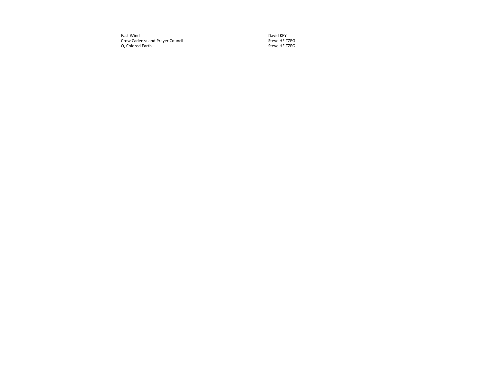East Wind t Wind David David David David David David David David David David David David David David David David David D Crow Cadenza and Prayer Council New York Steve HEITZEG O, Colored Earth Steve HEITZEG

David KEY<br>Steve HEITZEG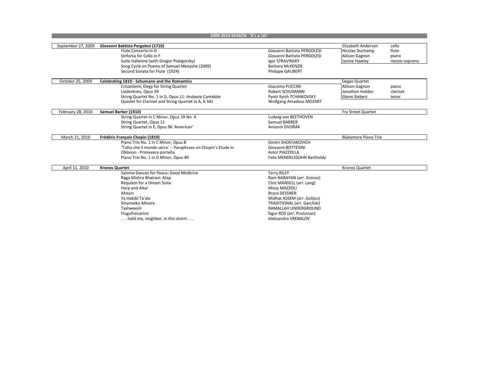| 2009-2010 SEASON 'It's a 10!' |                                                                                                                                                                                                                                         |                                                                                                                                                                                                                                                                 |                                                                  |                                          |
|-------------------------------|-----------------------------------------------------------------------------------------------------------------------------------------------------------------------------------------------------------------------------------------|-----------------------------------------------------------------------------------------------------------------------------------------------------------------------------------------------------------------------------------------------------------------|------------------------------------------------------------------|------------------------------------------|
|                               |                                                                                                                                                                                                                                         |                                                                                                                                                                                                                                                                 | Elizabeth Anderson                                               |                                          |
| September 27, 2009            | Giovanni Battista Pergolesi (1710)<br>Flute Concerto in G<br>Sinfonia for Cello in F<br>Suite Italienne (with Gregor Piatigorsky)<br>Song Cycle on Poems of Samuel Menashe (2009)<br>Second Sonata for Flute (1924)                     | Giovanni Battista PERGOLESI<br>Giovanni Battista PERGOLESI<br>Igor STRAVINSKY<br><b>Barbara McKENZIE</b><br><b>Philippe GAUBERT</b>                                                                                                                             | Nicolas Duchamp<br><b>Allison Gagnon</b><br>Janine Hawley        | cello<br>flute<br>piano<br>mezzo-soprano |
| October 25, 2009              | Celebrating 1810 - Schumann and the Romantics                                                                                                                                                                                           |                                                                                                                                                                                                                                                                 | Degas Quartet                                                    |                                          |
|                               | Crisantemi, Elegy for String Quartet<br>Liederkreis, Opus 39<br>String Quartet No. 1 in D, Opus 11: Andante Cantabile<br>Quintet for Clarinet and String Quartet in A, K.581                                                            | Giacomo PUCCINI<br>Robert SCHUMANN<br>Pyotr Ilyich TCHAIKOVSKY<br><b>Wolfgang Amadeus MOZART</b>                                                                                                                                                                | <b>Allison Gagnon</b><br>Jonathan Holden<br><b>Glenn Siebert</b> | piano<br>clarinet<br>tenor               |
| February 28, 2010             | Samuel Barber (1910)                                                                                                                                                                                                                    |                                                                                                                                                                                                                                                                 | Fry Street Quartet                                               |                                          |
|                               | String Quartet in C Minor, Opus 18 No. 4<br>String Quartet, Opus 11<br>String Quartet in F, Opus 96 'American'                                                                                                                          | Ludwig van BEETHOVEN<br>Samuel BARBER<br>Antonín DVOŘÁK                                                                                                                                                                                                         |                                                                  |                                          |
| March 21, 2010                | Frédéric François Chopin (1810)                                                                                                                                                                                                         |                                                                                                                                                                                                                                                                 | <b>Blakemore Piano Trio</b>                                      |                                          |
|                               | Piano Trio No. 1 in C Minor, Opus 8<br>'Tutto che il mondo serra' -- Paraphrase on Chopin's Etude in<br>Oblivion - Primavera porteña<br>Piano Trio No. 1 in D Minor, Opus 49                                                            | <b>Dmitri SHOSTAKOVICH</b><br>Giovanni BOTTESINI<br><b>Astor PIAZZOLLA</b><br>Felix MENDELSSOHN Bartholdy                                                                                                                                                       |                                                                  |                                          |
| April 11, 2010                | <b>Kronos Quartet</b>                                                                                                                                                                                                                   |                                                                                                                                                                                                                                                                 | Kronos Quartet                                                   |                                          |
|                               | Salome Dances for Peace: Good Medicine<br>Raga Mishra Bhairavi: Atap<br>Requiem for a Dream Suite<br>Harp and Altar<br>Aheym<br>Ya Habibi Ta'ala<br>Smymeiko Minore<br>Tashweesh<br>Flugufreisarinn<br>hold me, neighbor, in this storm | <b>Terry RILEY</b><br>Ram NARAYAN (arr. Kronos)<br>Clint MANSELL (arr. Lang)<br>Missy MAZZOLI<br><b>Bryce DESSNER</b><br>Midhat ASSEM (arr. Golijov)<br>TRADITIONAL (arr. Garchiki)<br>RAMALLAH UNDERGROUND<br>Sigur ROS (arr. Prutsman)<br>Aleksandra VREBALOV |                                                                  |                                          |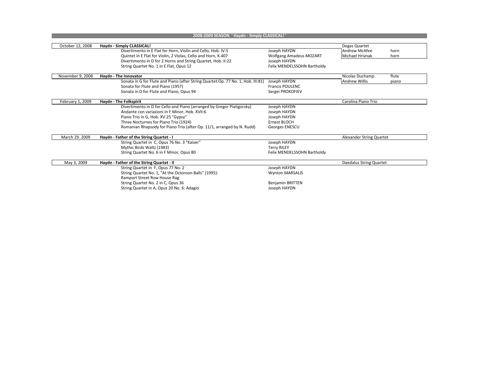| 2008-2009 SEASON 'Haydn - Simply CLASSICAL!' |                                                                                  |                                |                                |  |
|----------------------------------------------|----------------------------------------------------------------------------------|--------------------------------|--------------------------------|--|
|                                              |                                                                                  |                                |                                |  |
| October 12, 2008                             | Haydn - Simply CLASSICAL!                                                        |                                | Degas Quartet                  |  |
|                                              | Divertimento in E Flat for Horn, Violin and Cello, Hob. IV:5                     | Joseph HAYDN                   | <b>Andrew McAfee</b><br>horn   |  |
|                                              | Quintet in E Flat for Violin, 2 Violas, Cello and Horn, K.407                    | <b>Wolfgang Amadeus MOZART</b> | <b>Michael Hrivnak</b><br>horn |  |
|                                              | Divertimento in D for 2 Horns and String Quartet, Hob. II:22                     | Joseph HAYDN                   |                                |  |
|                                              | String Quartet No. 1 in E Flat, Opus 12                                          | Felix MENDELSSOHN Bartholdy    |                                |  |
|                                              |                                                                                  |                                |                                |  |
| November 9, 2008                             | Haydn - The Innovator                                                            |                                | flute<br>Nicolas Duchamp       |  |
|                                              | Sonata in G for Flute and Piano (after String Quartet Op. 77 No. 1, Hob. III:81) | Joseph HAYDN                   | <b>Andrew Willis</b><br>piano  |  |
|                                              | Sonata for Flute and Piano (1957)                                                | <b>Francis POULENC</b>         |                                |  |
|                                              | Sonata in D for Flute and Piano, Opus 94                                         | Sergei PROKOFIEV               |                                |  |
|                                              |                                                                                  |                                |                                |  |
| February 1, 2009                             | Haydn - The Folkspirit                                                           |                                | Carolina Piano Trio            |  |
|                                              | Divertimento in D for Cello and Piano (arranged by Gregor Piatigorsky)           | Joseph HAYDN                   |                                |  |
|                                              | Andante con variazioni in F Minor, Hob. XVII:6                                   | Joseph HAYDN                   |                                |  |
|                                              | Piano Trio in G, Hob. XV:25 "Gypsy"                                              | Joseph HAYDN                   |                                |  |
|                                              | Three Nocturnes for Piano Trio (1924)                                            | Ernest BLOCH                   |                                |  |
|                                              | Romanian Rhapsody for Piano Trio (after Op. 11/1, arranged by N. Rudd)           | Georges ENESCU                 |                                |  |
|                                              |                                                                                  |                                |                                |  |
| March 29. 2009                               | Haydn - Father of the String Quartet - I                                         |                                | Alexander String Quartet       |  |
|                                              | String Quartet in C, Opus 76 No. 3 "Kaiser"                                      | Joseph HAYDN                   |                                |  |
|                                              | Mythic Birds Waltz (1983)                                                        | <b>Terry RILEY</b>             |                                |  |
|                                              | String Quartet No. 6 in F Minor, Opus 80                                         | Felix MENDELSSOHN Bartholdy    |                                |  |
|                                              |                                                                                  |                                |                                |  |
| May 3, 2009                                  | Haydn - Father of the String Quartet - II                                        |                                | Daedalus String Quartet        |  |
|                                              | String Quartet in F, Opus 77 No. 2                                               | Joseph HAYDN                   |                                |  |
|                                              | String Quartet No. 1, "At the Octoroon Balls" (1995):                            | <b>Wynton MARSALIS</b>         |                                |  |
|                                              | Rampart Street Row House Rag                                                     |                                |                                |  |
|                                              | String Quartet No. 2 in C, Opus 36                                               | <b>Benjamin BRITTEN</b>        |                                |  |
|                                              | String Quartet in A, Opus 20 No. 6: Adagio                                       | Joseph HAYDN                   |                                |  |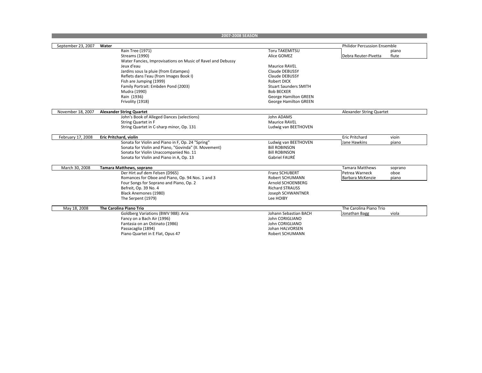| 2007-2008 SEASON   |                                                             |                              |                                     |  |
|--------------------|-------------------------------------------------------------|------------------------------|-------------------------------------|--|
|                    |                                                             |                              |                                     |  |
| September 23, 2007 | Water                                                       |                              | <b>Philidor Percussion Ensemble</b> |  |
|                    | Rain Tree (1971)                                            | <b>Toru TAKEMITSU</b>        | piano                               |  |
|                    | <b>Streams (1990)</b>                                       | Alice GOMEZ                  | flute<br>Debra Reuter-Pivetta       |  |
|                    | Water Fancies, Improvisations on Music of Ravel and Debussy |                              |                                     |  |
|                    | Jeux d'eau                                                  | Maurice RAVEL                |                                     |  |
|                    | Jardins sous la pluie (from Estampes)                       | <b>Claude DEBUSSY</b>        |                                     |  |
|                    | Reflets dans l'eau (from Images Book I)                     | Claude DEBUSSY               |                                     |  |
|                    | Fish are Jumping (1999)                                     | <b>Robert DICK</b>           |                                     |  |
|                    | Family Portrait: Embden Pond (2003)                         | <b>Stuart Saunders SMITH</b> |                                     |  |
|                    | Mudra (1990)                                                | <b>Bob BECKER</b>            |                                     |  |
|                    | Rain (1936)                                                 | <b>George Hamilton GREEN</b> |                                     |  |
|                    | Frivolity (1918)                                            | <b>George Hamilton GREEN</b> |                                     |  |
|                    |                                                             |                              |                                     |  |
| November 18, 2007  | <b>Alexander String Quartet</b>                             |                              | Alexander String Quartet            |  |
|                    | John's Book of Alleged Dances (selections)                  | John ADAMS                   |                                     |  |
|                    | String Quartet in F                                         | <b>Maurice RAVEL</b>         |                                     |  |
|                    | String Quartet in C-sharp minor, Op. 131                    | Ludwig van BEETHOVEN         |                                     |  |
|                    |                                                             |                              |                                     |  |
| February 17, 2008  | Eric Pritchard, violin                                      |                              | <b>Eric Pritchard</b><br>vioin      |  |
|                    | Sonata for Violin and Piano in F, Op. 24 "Spring"           | Ludwig van BEETHOVEN         | Jane Hawkins<br>piano               |  |
|                    | Sonata for Violin and Piano, "Govinda" (II. Movement)       | <b>Bill ROBINSON</b>         |                                     |  |
|                    | Sonata for Violin Unaccompanied No. 11                      | <b>Bill ROBINSON</b>         |                                     |  |
|                    | Sonata for Violin and Piano in A, Op. 13                    | Gabriel FAURÉ                |                                     |  |
|                    |                                                             |                              |                                     |  |
| March 30, 2008     | Tamara Matthews, soprano                                    |                              | <b>Tamara Matthews</b><br>soprano   |  |
|                    | Der Hirt auf dem Felsen (D965)                              | Franz SCHUBERT               | Petrea Warneck<br>oboe              |  |
|                    | Romances for Oboe and Piano, Op. 94 Nos. 1 and 3            | <b>Robert SCHUMANN</b>       | Barbara McKenzie<br>piano           |  |
|                    | Four Songs for Soprano and Piano, Op. 2                     | Arnold SCHOENBERG            |                                     |  |
|                    | Befreit, Op. 39 No. 4                                       | <b>Richard STRAUSS</b>       |                                     |  |
|                    | Black Anemones (1980)                                       | Joseph SCHWANTNER            |                                     |  |
|                    | The Serpent (1979)                                          | Lee HOIBY                    |                                     |  |
|                    |                                                             |                              |                                     |  |
| May 18, 2008       | The Carolina Piano Trio                                     |                              | The Carolina Piano Trio             |  |
|                    | Goldberg Variations (BWV 988): Aria                         | Johann Sebastian BACH        | Jonathan Bagg<br>viola              |  |
|                    | Fancy on a Bach Air (1996)                                  | John CORIGLIANO              |                                     |  |
|                    | Fantasia on an Ostinato (1986)                              | John CORIGLIANO              |                                     |  |
|                    | Passacaglia (1894)                                          | Johan HALVORSEN              |                                     |  |
|                    | Piano Quartet in E Flat, Opus 47                            | <b>Robert SCHUMANN</b>       |                                     |  |
|                    |                                                             |                              |                                     |  |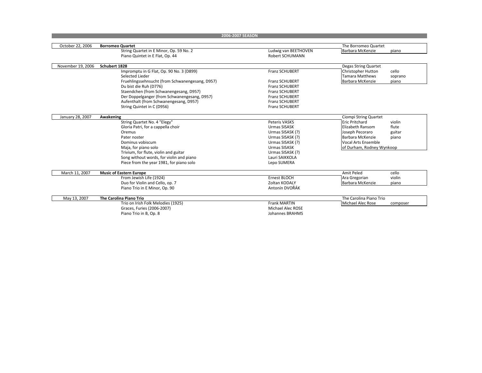| 2006-2007 SEASON  |                                                 |                        |                                    |  |
|-------------------|-------------------------------------------------|------------------------|------------------------------------|--|
|                   |                                                 |                        |                                    |  |
| October 22, 2006  | <b>Borromeo Quartet</b>                         |                        | The Borromeo Quartet               |  |
|                   | String Quartet in E Minor, Op. 59 No. 2         | Ludwig van BEETHOVEN   | <b>Barbara McKenzie</b><br>piano   |  |
|                   | Piano Quintet in E Flat, Op. 44                 | <b>Robert SCHUMANN</b> |                                    |  |
| November 19, 2006 | Schubert 1828                                   |                        | Degas String Quartet               |  |
|                   | Impromptu in G Flat, Op. 90 No. 3 (D899)        | Franz SCHUBERT         | <b>Christopher Hutton</b><br>cello |  |
|                   | Selected Lieder                                 |                        | <b>Tamara Matthews</b><br>soprano  |  |
|                   | Fruehlingssehnsucht (from Schwanengesang, D957) | <b>Franz SCHUBERT</b>  | <b>Barbara McKenzie</b><br>piano   |  |
|                   | Du bist die Ruh (D776)                          | Franz SCHUBERT         |                                    |  |
|                   | Staendchen (from Schwanengesang, D957)          | <b>Franz SCHUBERT</b>  |                                    |  |
|                   | Der Doppelganger (from Schwanengesang, D957)    | Franz SCHUBERT         |                                    |  |
|                   | Aufenthalt (from Schwanengesang, D957)          | <b>Franz SCHUBERT</b>  |                                    |  |
|                   | String Quintet in C (D956)                      | <b>Franz SCHUBERT</b>  |                                    |  |
| January 28, 2007  | Awakening                                       |                        | Ciompi String Quartet              |  |
|                   | String Quartet No. 4 "Elegy"                    | Peteris VASKS          | <b>Eric Pritchard</b><br>violin    |  |
|                   | Gloria Patri, for a cappella choir              | Urmas SISASK           | Elizabeth Ransom<br>flute          |  |
|                   | Oremus                                          | Urmas SISASK (?)       | Joseph Pecoraro<br>guitar          |  |
|                   | Pater noster                                    | Urmas SISASK (?)       | Barbara McKenzie<br>piano          |  |
|                   | Dominus vobiscum                                | Urmas SISASK (?)       | <b>Vocal Arts Ensemble</b>         |  |
|                   | Maja, for piano solo                            | <b>Urmas SISASK</b>    | of Durham, Rodney Wynkoop          |  |
|                   | Trivium, for flute, violin and guitar           | Urmas SISASK (?)       |                                    |  |
|                   | Song without words, for violin and piano        | Lauri SAIKKOLA         |                                    |  |
|                   | Piece from the year 1981, for piano solo        | Lepo SUMERA            |                                    |  |
| March 11, 2007    | <b>Music of Eastern Europe</b>                  |                        | Amit Peled<br>cello                |  |
|                   | From Jewish Life (1924)                         | <b>Ernest BLOCH</b>    | Ara Gregorian<br>violin            |  |
|                   | Duo for Violin and Cello, op. 7                 | Zoltan KODALY          | Barbara McKenzie<br>piano          |  |
|                   | Piano Trio in E Minor, Op. 90                   | Antonín DVOŘÁK         |                                    |  |
|                   |                                                 |                        | The Carolina Piano Trio            |  |
| May 13, 2007      | <b>The Carolina Piano Trio</b>                  |                        |                                    |  |
|                   | Trio on Irish Folk Melodies (1925)              | <b>Frank MARTIN</b>    | Michael Alec Rose<br>composer      |  |
|                   | Graces, Furies (2006-2007)                      | Michael Alec ROSE      |                                    |  |
|                   | Piano Trio in B, Op. 8                          | Johannes BRAHMS        |                                    |  |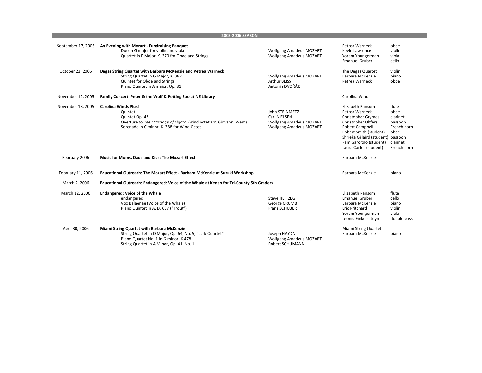| 2005-2006 SEASON   |                                                                                                                                                                                             |                                                                                                    |                                                                                                                                                                                                                                      |                                                                                        |
|--------------------|---------------------------------------------------------------------------------------------------------------------------------------------------------------------------------------------|----------------------------------------------------------------------------------------------------|--------------------------------------------------------------------------------------------------------------------------------------------------------------------------------------------------------------------------------------|----------------------------------------------------------------------------------------|
| September 17, 2005 | An Evening with Mozart - Fundraising Banquet<br>Duo in G major for violin and viola<br>Quartet in F Major, K. 370 for Oboe and Strings                                                      | <b>Wolfgang Amadeus MOZART</b><br><b>Wolfgang Amadeus MOZART</b>                                   | Petrea Warneck<br>Kevin Lawrence<br>Yoram Youngerman<br><b>Emanuel Gruber</b>                                                                                                                                                        | oboe<br>violin<br>viola<br>cello                                                       |
| October 23, 2005   | Degas String Quartet with Barbara McKenzie and Petrea Warneck<br>String Quartet in G Major, K. 387<br>Quintet for Oboe and Strings<br>Piano Quintet in A major, Op. 81                      | <b>Wolfgang Amadeus MOZART</b><br><b>Arthur BLISS</b><br>Antonín DVOŘÁK                            | The Degas Quartet<br>Barbara McKenzie<br>Petrea Warneck                                                                                                                                                                              | violin<br>piano<br>oboe                                                                |
| November 12, 2005  | Family Concert: Peter & the Wolf & Petting Zoo at NE Library                                                                                                                                |                                                                                                    | Carolina Winds                                                                                                                                                                                                                       |                                                                                        |
| November 13, 2005  | <b>Carolina Winds Plus!</b><br>Quintet<br>Quintet Op. 43<br>Overture to The Marriage of Figaro (wind octet arr. Giovanni Went)<br>Serenade in C minor, K. 388 for Wind Octet                | John STEINMETZ<br>Carl NIELSEN<br><b>Wolfgang Amadeus MOZART</b><br><b>Wolfgang Amadeus MOZART</b> | Elizabeth Ransom<br>Petrea Warneck<br><b>Christopher Grymes</b><br>Christopher Ulffers<br><b>Robert Campbell</b><br>Robert Smith (student)<br>Shrieka Gillaird (student) bassoon<br>Pam Garofolo (student)<br>Laura Carter (student) | flute<br>oboe<br>clarinet<br>bassoon<br>French horn<br>oboe<br>clarinet<br>French horn |
| February 2006      | Music for Moms, Dads and Kids: The Mozart Effect                                                                                                                                            |                                                                                                    | Barbara McKenzie                                                                                                                                                                                                                     |                                                                                        |
| February 11, 2006  | Educational Outreach: The Mozart Effect - Barbara McKenzie at Suzuki Workshop                                                                                                               |                                                                                                    | Barbara McKenzie                                                                                                                                                                                                                     | piano                                                                                  |
| March 2, 2006      | Educational Outreach: Endangered: Voice of the Whale at Kenan for Tri-County 5th Graders                                                                                                    |                                                                                                    |                                                                                                                                                                                                                                      |                                                                                        |
| March 12, 2006     | <b>Endangered: Voice of the Whale</b><br>endangered<br>Vox Balaenae (Voice of the Whale)<br>Piano Quintet in A, D. 667 ("Trout")                                                            | <b>Steve HEITZEG</b><br>George CRUMB<br><b>Franz SCHUBERT</b>                                      | <b>Elizabeth Ransom</b><br><b>Emanuel Gruber</b><br>Barbara McKenzie<br><b>Eric Pritchard</b><br>Yoram Youngerman<br>Leonid Finkelshteyn                                                                                             | flute<br>cello<br>piano<br>violin<br>viola<br>double bass                              |
| April 30, 2006     | Miami String Quartet with Barbara McKenzie<br>String Quartet in D Major, Op. 64, No. 5, "Lark Quartet"<br>Piano Quartet No. 1 in G minor, K.478<br>String Quartet in A Minor, Op. 41, No. 1 | Joseph HAYDN<br><b>Wolfgang Amadeus MOZART</b><br>Robert SCHUMANN                                  | Miami String Quartet<br>Barbara McKenzie                                                                                                                                                                                             | piano                                                                                  |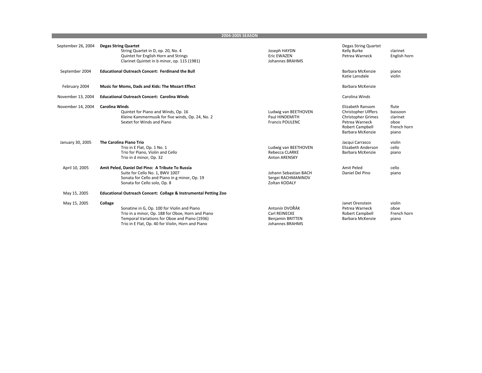**2004‐2005 SEASON**

| September 26, 2004 | <b>Degas String Quartet</b><br>String Quartet in D, op. 20, No. 4<br>Quintet for English Horn and Strings<br>Clarinet Quintet in b minor, op. 115 (1981)                                                          | Joseph HAYDN<br><b>Eric EWAZEN</b><br>Johannes BRAHMS                         | Degas String Quartet<br>Kelly Burke<br>Petrea Warneck                                                                         | clarinet<br>English horn                                     |
|--------------------|-------------------------------------------------------------------------------------------------------------------------------------------------------------------------------------------------------------------|-------------------------------------------------------------------------------|-------------------------------------------------------------------------------------------------------------------------------|--------------------------------------------------------------|
| September 2004     | <b>Educational Outreach Concert: Ferdinand the Bull</b>                                                                                                                                                           |                                                                               | Barbara McKenzie<br>Katie Lansdale                                                                                            | piano<br>violin                                              |
| February 2004      | Music for Moms, Dads and Kids: The Mozart Effect                                                                                                                                                                  |                                                                               | Barbara McKenzie                                                                                                              |                                                              |
| November 13, 2004  | <b>Educational Outreach Concert: Carolina Winds</b>                                                                                                                                                               |                                                                               | Carolina Winds                                                                                                                |                                                              |
| November 14, 2004  | <b>Carolina Winds</b><br>Quintet for Piano and Winds, Op. 16<br>Kleine Kammermusik for five winds, Op. 24, No. 2<br>Sextet for Winds and Piano                                                                    | Ludwig van BEETHOVEN<br>Paul HINDEMITH<br><b>Francis POULENC</b>              | Elizabeth Ransom<br>Christopher Ulffers<br><b>Christopher Grimes</b><br>Petrea Warneck<br>Robert Campbell<br>Barbara McKenzie | flute<br>bassoon<br>clarinet<br>oboe<br>French horn<br>piano |
| January 30, 2005   | The Carolina Piano Trio<br>Trio in E Flat, Op. 1 No. 1<br>Trio for Piano, Violin and Cello<br>Trio in d minor, Op. 32                                                                                             | Ludwig van BEETHOVEN<br>Rebecca CLARKE<br><b>Anton ARENSKY</b>                | Jacqui Carrasco<br>Elizabeth Anderson<br>Barbara McKenzie                                                                     | violin<br>cello<br>piano                                     |
| April 10, 2005     | Amit Peled, Daniel Del Pino: A Tribute To Russia<br>Suite for Cello No. 1, BWV 1007<br>Sonata for Cello and Piano in g minor, Op. 19<br>Sonata for Cello solo, Op. 8                                              | Johann Sebastian BACH<br>Sergei RACHMANINOV<br>Zoltan KODALY                  | Amit Peled<br>Daniel Del Pino                                                                                                 | cello<br>piano                                               |
| May 15, 2005       | Educational Outreach Concert: Collage & Instrumental Petting Zoo                                                                                                                                                  |                                                                               |                                                                                                                               |                                                              |
| May 15, 2005       | Collage<br>Sonatine in G, Op. 100 for Violin and Piano<br>Trio in a minor, Op. 188 for Oboe, Horn and Piano<br>Temporal Variations for Oboe and Piano (1936)<br>Trio in E Flat, Op. 40 for Violin, Horn and Piano | Antonín DVOŘÁK<br>Carl REINECKE<br><b>Benjamin BRITTEN</b><br>Johannes BRAHMS | Janet Orenstein<br>Petrea Warneck<br>Robert Campbell<br>Barbara McKenzie                                                      | violin<br>oboe<br>French horn<br>piano                       |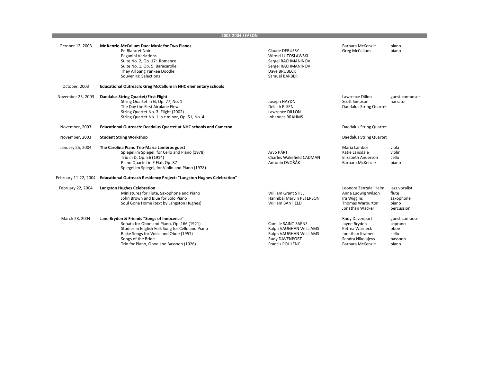**2003‐2004 SEASON**

| October 12, 2003  | Mc Kenzie-McCallum Duo: Music for Two Pianos<br>En Blanc et Noir<br>Paganini Variations<br>Suite No. 2, Op. 17: Romance<br>Suite No. 1, Op. 5: Baracarolle<br>They All Sang Yankee Doodle<br>Souvenirs: Selections                                    | Claude DEBUSSY<br>Witold LUTOSLAWSKI<br>Sergei RACHMANINOV<br>Sergei RACHMANINOV<br>Dave BRUBECK<br>Samuel BARBER   | Barbara McKenzie<br>Greg McCallum                                                                            | piano<br>piano                                                 |
|-------------------|-------------------------------------------------------------------------------------------------------------------------------------------------------------------------------------------------------------------------------------------------------|---------------------------------------------------------------------------------------------------------------------|--------------------------------------------------------------------------------------------------------------|----------------------------------------------------------------|
| October, 2003     | <b>Educational Outreach: Greg McCallum in NHC elementary schools</b>                                                                                                                                                                                  |                                                                                                                     |                                                                                                              |                                                                |
| November 23, 2003 | <b>Daedalus String Quartet/First Flight</b><br>String Quartet in G, Op. 77, No, 1<br>The Day the First Airplane Flew<br>String Quartet No. 3: Flight (2002)<br>String Quartet No. 1 in c minor, Op. 51, No. 4                                         | Joseph HAYDN<br><b>Delilah ELSEN</b><br>Lawrence DILLON<br><b>Johannes BRAHMS</b>                                   | Lawrence Dillon<br>Scott Simpson<br>Daedalus String Quartet                                                  | guest composer<br>narrator                                     |
| November, 2003    | <b>Educational Outreach: Deadalus Quartet at NHC schools and Cameron</b>                                                                                                                                                                              |                                                                                                                     | Daedalus String Quartet                                                                                      |                                                                |
| November, 2003    | <b>Student String Workshop</b>                                                                                                                                                                                                                        |                                                                                                                     | Daedalus String Quartet                                                                                      |                                                                |
| January 25, 2004  | The Carolina Piano Trio-Maria Lambros guest<br>Spiegel im Spiegel, for Cello and Piano (1978)<br>Trio in D, Op. 56 (1914)<br>Piano Quartet in E Flat, Op. 87<br>Spiegel im Spiegel, for Violin and Piano (1978)                                       | Arvo PÄRT<br>Charles Wakefield CADMAN<br>Antonín DVOŘÁK                                                             | Maria Lambos<br>Katie Lansdale<br>Elizabeth Anderson<br>Barbara McKenzie                                     | viola<br>violin<br>cello<br>piano                              |
|                   | February 11-22, 2004 Educational Outreach Residency Project: "Langston Hughes Celebration"                                                                                                                                                            |                                                                                                                     |                                                                                                              |                                                                |
| February 22, 2004 | <b>Langston Hughes Celebration</b><br>Miniatures for Flute, Saxophone and Piano<br>John Brown and Blue for Solo Piano<br>Soul Gone Home (text by Langston Hughes)                                                                                     | <b>William Grant STILL</b><br><b>Hannibal Marvin PETERSON</b><br><b>William BANFIELD</b>                            | Leonora Zenzalai Helm<br>Anna Ludwig Wilson<br>Ira Wiggins<br>Thomas Warburton<br>Jonathan Wacker            | jazz vocalist<br>flute<br>saxophone<br>piano<br>percussion     |
| March 28, 2004    | Jane Bryden & Friends "Songs of Innocence"<br>Sonata for Oboe and Piano, Op. 166 (1921)<br>Studies in English Folk Song for Cello and Piano<br>Blake Songs for Voice and Oboe (1957)<br>Songs of the Bride<br>Trio for Piano, Oboe and Bassoon (1926) | Camille SAINT-SAËNS<br>Ralph VAUGHAN WILLIAMS<br>Ralph VAUGHAN WILLIAMS<br>Rudy DAVENPORT<br><b>Francis POULENC</b> | Rudy Davenport<br>Jayne Bryden<br>Petrea Warneck<br>Jonathan Kramer<br>Sandra Nikolajevs<br>Barbara McKenzie | guest composer<br>soprano<br>oboe<br>cello<br>bassoon<br>piano |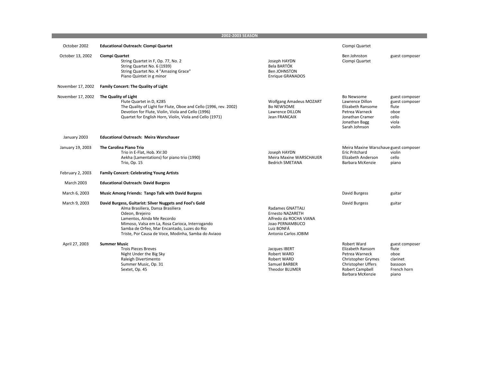**2002‐2003 SEASON**

| October 2002      | <b>Educational Outreach: Ciompi Quartet</b>                                                                                                                                                                                                                                                             |                                                                                                                                       | Ciompi Quartet                                                                                                                                     |                                                                                |
|-------------------|---------------------------------------------------------------------------------------------------------------------------------------------------------------------------------------------------------------------------------------------------------------------------------------------------------|---------------------------------------------------------------------------------------------------------------------------------------|----------------------------------------------------------------------------------------------------------------------------------------------------|--------------------------------------------------------------------------------|
| October 13, 2002  | Ciompi Quartet<br>String Quartet in F, Op. 77, No. 2<br>String Quartet No. 6 (1939)<br>String Quartet No. 4 "Amazing Grace"<br>Piano Quintet in g minor                                                                                                                                                 | Joseph HAYDN<br>Bela BARTÓK<br>Ben JOHNSTON<br><b>Enrique GRANADOS</b>                                                                | Ben Johnston<br>Ciompi Quartet                                                                                                                     | guest composer                                                                 |
| November 17, 2002 | Family Concert: The Quality of Light                                                                                                                                                                                                                                                                    |                                                                                                                                       |                                                                                                                                                    |                                                                                |
| November 17, 2002 | The Quality of Light<br>Flute Quartet in D, K285<br>The Quality of Light for Flute, Oboe and Cello (1996, rev. 2002)<br>Devotion for Flute, Violin, Viola and Cello (1996)<br>Quartet for English Horn, Violin, Viola and Cello (1971)                                                                  | <b>Wolfgang Amadeus MOZART</b><br><b>Bo NEWSOME</b><br>Lawrence DILLON<br>Jean FRANCAIX                                               | Bo Newsome<br>Lawrence Dillon<br>Elizabeth Ransome<br>Petrea Warneck<br>Jonathan Cramer<br>Jonathan Bagg<br>Sarah Johnson                          | guest composer<br>guest composer<br>flute<br>oboe<br>cello<br>viola<br>violin  |
| January 2003      | <b>Educational Outreach: Meira Warschauer</b>                                                                                                                                                                                                                                                           |                                                                                                                                       |                                                                                                                                                    |                                                                                |
| January 19, 2003  | The Carolina Piano Trio<br>Trio in E-Flat, Hob. XV:30<br>Aekha (Lamentations) for piano trio (1990)<br>Trio, Op. 15                                                                                                                                                                                     | Joseph HAYDN<br><b>Meira Maxine WARSCHAUER</b><br><b>Bedrich SMETANA</b>                                                              | Meira Maxine Warschaue guest composer<br><b>Eric Pritchard</b><br>Elizabeth Anderson<br>Barbara McKenzie                                           | violin<br>cello<br>piano                                                       |
| February 2, 2003  | <b>Family Concert: Celebrating Young Artists</b>                                                                                                                                                                                                                                                        |                                                                                                                                       |                                                                                                                                                    |                                                                                |
| <b>March 2003</b> | <b>Educational Outreach: David Burgess</b>                                                                                                                                                                                                                                                              |                                                                                                                                       |                                                                                                                                                    |                                                                                |
| March 6, 2003     | <b>Music Among Friends: Tango Talk with David Burgess</b>                                                                                                                                                                                                                                               |                                                                                                                                       | David Burgess                                                                                                                                      | guitar                                                                         |
| March 9, 2003     | David Burgess, Guitarist: Silver Nuggets and Fool's Gold<br>Alma Brasiliera, Dansa Brasiliera<br>Odeon, Brejeiro<br>Lamentos, Ainda Me Recordo<br>Mimoso, Valsa em La, Rosa Carioca, Interrogando<br>Samba de Orfeo, Mar Encantado, Luzes do Rio<br>Triste, Por Causa de Voce, Modinha, Samba do Aviaoo | <b>Radames GNATTALI</b><br><b>Ernesto NAZARETH</b><br>Alfredo da ROCHA VIANA<br>Joao PERNAMBUCO<br>Luiz BONFÁ<br>Antonio Carlos JOBIM | David Burgess                                                                                                                                      | guitar                                                                         |
| April 27, 2003    | <b>Summer Music</b><br><b>Trois Pieces Breves</b><br>Night Under the Big Sky<br>Raleigh Divertimento<br>Summer Music, Op. 31<br>Sextet, Op. 45                                                                                                                                                          | Jacques IBERT<br>Robert WARD<br>Robert WARD<br>Samuel BARBER<br><b>Theodor BLUMER</b>                                                 | <b>Robert Ward</b><br>Elizabeth Ransom<br>Petrea Warneck<br><b>Christopher Grymes</b><br>Christopher Uffers<br>Robert Campbell<br>Barbara McKenzie | guest composer<br>flute<br>oboe<br>clarinet<br>bassoon<br>French horn<br>piano |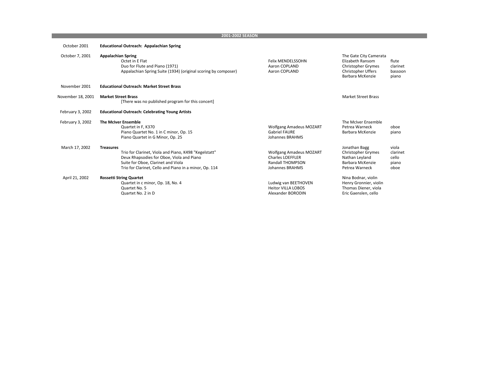## **2001‐2002 SEASON**

| October 2001      | <b>Educational Outreach: Appalachian Spring</b>                                                                                                                                                                        |                                                                                                                |                                                                                                                   |                                             |
|-------------------|------------------------------------------------------------------------------------------------------------------------------------------------------------------------------------------------------------------------|----------------------------------------------------------------------------------------------------------------|-------------------------------------------------------------------------------------------------------------------|---------------------------------------------|
| October 7, 2001   | <b>Appalachian Spring</b><br>Octet in E Flat<br>Duo for Flute and Piano (1971)<br>Appalachian Spring Suite (1934) (original scoring by composer)                                                                       | <b>Felix MENDELSSOHN</b><br>Aaron COPLAND<br>Aaron COPLAND                                                     | The Gate City Camerata<br>Elizabeth Ransom<br><b>Christopher Grymes</b><br>Christopher Uffers<br>Barbara McKenzie | flute<br>clarinet<br>bassoon<br>piano       |
| November 2001     | <b>Educational Outreach: Market Street Brass</b>                                                                                                                                                                       |                                                                                                                |                                                                                                                   |                                             |
| November 18, 2001 | <b>Market Street Brass</b><br>[There was no published program for this concert]                                                                                                                                        |                                                                                                                | <b>Market Street Brass</b>                                                                                        |                                             |
| February 3, 2002  | <b>Educational Outreach: Celebrating Young Artists</b>                                                                                                                                                                 |                                                                                                                |                                                                                                                   |                                             |
| February 3, 2002  | <b>The McIver Ensemble</b><br>Quartet in F, K370<br>Piano Quartet No. 1 in C minor, Op. 15<br>Piano Quartet in G Minor, Op. 25                                                                                         | <b>Wolfgang Amadeus MOZART</b><br><b>Gabriel FAURE</b><br><b>Johannes BRAHMS</b>                               | The McIver Ensemble<br>Petrea Warneck<br>Barbara McKenzie                                                         | oboe<br>piano                               |
| March 17, 2002    | <b>Treasures</b><br>Trio for Clarinet, Viola and Piano, K498 "Kegelstatt"<br>Deux Rhapsodies for Oboe, Viola and Piano<br>Suite for Oboe, Clarinet and Viola<br>Trio for Clarinet, Cello and Piano in a minor, Op. 114 | <b>Wolfgang Amadeus MOZART</b><br><b>Charles LOEFFLER</b><br><b>Randall THOMPSON</b><br><b>Johannes BRAHMS</b> | Jonathan Bagg<br><b>Christopher Grymes</b><br>Nathan Leyland<br>Barbara McKenzie<br>Petrea Warneck                | viola<br>clarinet<br>cello<br>piano<br>oboe |
| April 21, 2002    | <b>Rossetti String Quartet</b><br>Quartet in c minor, Op. 18, No. 4<br>Quartet No. 5<br>Quartet No. 2 in D                                                                                                             | Ludwig van BEETHOVEN<br><b>Heitor VILLA LOBOS</b><br>Alexander BORODIN                                         | Nina Bodnar, violin<br>Henry Gronnier, violin<br>Thomas Diener, viola<br>Eric Gaenslen, cello                     |                                             |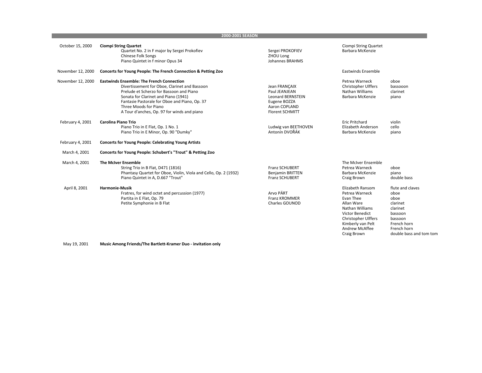| October 15, 2000  | <b>Ciompi String Quartet</b><br>Quartet No. 2 in F major by Sergei Prokofiev<br><b>Chinese Folk Songs</b><br>Piano Quintet in f minor Opus 34                                                                                                                                                                  | Sergei PROKOFIEV<br>ZHOU Long<br><b>Johannes BRAHMS</b>                                                               | Ciompi String Quartet<br>Barbara McKenzie                                                                                                                                               |                                                                                                                                         |
|-------------------|----------------------------------------------------------------------------------------------------------------------------------------------------------------------------------------------------------------------------------------------------------------------------------------------------------------|-----------------------------------------------------------------------------------------------------------------------|-----------------------------------------------------------------------------------------------------------------------------------------------------------------------------------------|-----------------------------------------------------------------------------------------------------------------------------------------|
| November 12, 2000 | Concerts for Young People: The French Connection & Petting Zoo                                                                                                                                                                                                                                                 |                                                                                                                       | Eastwinds Ensemble                                                                                                                                                                      |                                                                                                                                         |
| November 12, 2000 | <b>Eastwinds Ensemble: The French Connection</b><br>Divertissement for Oboe, Clarinet and Bassoon<br>Prelude et Scherzo for Bassoon and Piano<br>Sonata for Clarinet and Piano (1941)<br>Fantasie Pastorale for Oboe and Piano, Op. 37<br>Three Moods for Piano<br>A Tour d'anches, Op. 97 for winds and piano | Jean FRANCAIX<br>Paul JEANJEAN<br><b>Leonard BERNSTEIN</b><br>Eugene BOZZA<br>Aaron COPLAND<br><b>Florent SCHMITT</b> | Petrea Warneck<br>Christopher Ulffers<br>Nathan Williams<br>Barbara McKenzie                                                                                                            | oboe<br>bassooon<br>clarinet<br>piano                                                                                                   |
| February 4, 2001  | <b>Carolina Piano Trio</b><br>Piano Trio in E Flat, Op. 1 No. 1<br>Piano Trio in E Minor, Op. 90 "Dumky"                                                                                                                                                                                                       | Ludwig van BEETHOVEN<br>Antonín DVOŘÁK                                                                                | <b>Eric Pritchard</b><br>Elizabeth Anderson<br>Barbara McKenzie                                                                                                                         | violin<br>cello<br>piano                                                                                                                |
| February 4, 2001  | <b>Concerts for Young People: Celebrating Young Artists</b>                                                                                                                                                                                                                                                    |                                                                                                                       |                                                                                                                                                                                         |                                                                                                                                         |
| March 4, 2001     | Concerts for Young People: Schubert's "Trout" & Petting Zoo                                                                                                                                                                                                                                                    |                                                                                                                       |                                                                                                                                                                                         |                                                                                                                                         |
| March 4, 2001     | <b>The McIver Ensemble</b><br>String Trio in B Flat, D471 (1816)<br>Phantasy Quartet for Oboe, Violin, Viola and Cello, Op. 2 (1932)<br>Piano Quintet in A, D.667 "Trout"                                                                                                                                      | <b>Franz SCHUBERT</b><br><b>Benjamin BRITTEN</b><br><b>Franz SCHUBERT</b>                                             | The McIver Ensemble<br>Petrea Warneck<br>Barbara McKenzie<br>Craig Brown                                                                                                                | oboe<br>piano<br>double bass                                                                                                            |
| April 8, 2001     | <b>Harmonie-Musik</b><br>Fratres, for wind octet and percussion (1977)<br>Partita in E Flat, Op. 79<br>Petite Symphonie in B Flat                                                                                                                                                                              | Arvo PÄRT<br><b>Franz KROMMER</b><br>Charles GOUNOD                                                                   | Elizabeth Ransom<br>Petrea Warneck<br>Evan Thee<br>Allan Ware<br>Nathan Williams<br><b>Victor Benedict</b><br>Christopher Ulffers<br>Kimberly van Pelt<br>Andrew McAffee<br>Craig Brown | flute and claves<br>oboe<br>oboe<br>clarinet<br>clarinet<br>bassoon<br>bassoon<br>French horn<br>French horn<br>double bass and tom tom |

**2000‐2001 SEASON**

May 19, 2001 **Music Among Friends/The Bartlett‐Kramer Duo ‐ invitation only**

**Contract Contract**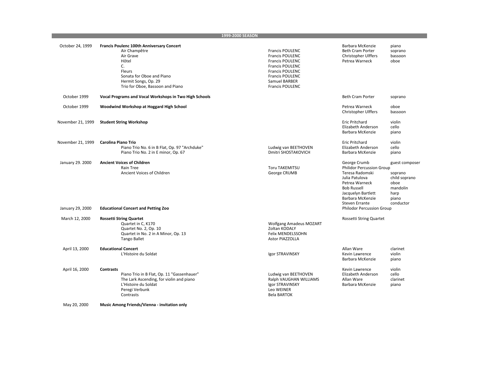|                   |                                                                                                                                                                                                  | 1999-2000 SEASON                                                                                                                                                                                           |                                                                                                                                                                                           |                                                                                              |
|-------------------|--------------------------------------------------------------------------------------------------------------------------------------------------------------------------------------------------|------------------------------------------------------------------------------------------------------------------------------------------------------------------------------------------------------------|-------------------------------------------------------------------------------------------------------------------------------------------------------------------------------------------|----------------------------------------------------------------------------------------------|
| October 24, 1999  | <b>Francis Poulenc 100th Anniversary Concert</b><br>Air Champêtre<br>Air Grave<br>Hôtel<br>C.<br>Fleurs<br>Sonata for Oboe and Piano<br>Hermit Songs, Op. 29<br>Trio for Oboe, Bassoon and Piano | <b>Francis POULENC</b><br><b>Francis POULENC</b><br><b>Francis POULENC</b><br><b>Francis POULENC</b><br><b>Francis POULENC</b><br><b>Francis POULENC</b><br><b>Samuel BARBER</b><br><b>Francis POULENC</b> | Barbara McKenzie<br><b>Beth Cram Porter</b><br>Christopher Ulffers<br>Petrea Warneck                                                                                                      | piano<br>soprano<br>bassoon<br>oboe                                                          |
| October 1999      | Vocal Programs and Vocal Workshops in Two High Schools                                                                                                                                           |                                                                                                                                                                                                            | <b>Beth Cram Porter</b>                                                                                                                                                                   | soprano                                                                                      |
| October 1999      | Woodwind Workshop at Hoggard High School                                                                                                                                                         |                                                                                                                                                                                                            | Petrea Warneck<br>Christopher Ulffers                                                                                                                                                     | oboe<br>bassoon                                                                              |
| November 21, 1999 | <b>Student String Workshop</b>                                                                                                                                                                   |                                                                                                                                                                                                            | Eric Pritchard<br>Elizabeth Anderson<br>Barbara McKenzie                                                                                                                                  | violin<br>cello<br>piano                                                                     |
| November 21, 1999 | <b>Carolina Piano Trio</b><br>Piano Trio No. 6 in B Flat, Op. 97 "Archduke"<br>Piano Trio No. 2 in E minor, Op. 67                                                                               | Ludwig van BEETHOVEN<br>Dmitri SHOSTAKOVICH                                                                                                                                                                | <b>Eric Pritchard</b><br>Elizabeth Anderson<br>Barbara McKenzie                                                                                                                           | violin<br>cello<br>piano                                                                     |
| January 29. 2000  | <b>Ancient Voices of Children</b><br>Rain Tree<br>Ancient Voices of Children                                                                                                                     | Toru TAKEMITSU<br>George CRUMB                                                                                                                                                                             | George Crumb<br>Philidor Percussion Group<br>Teresa Radomski<br>Julia Patulova<br>Petrea Warneck<br><b>Bob Russell</b><br>Jacquelyn Bartlett<br>Barbara McKenzie<br><b>Steven Errante</b> | guest composer<br>soprano<br>child soprano<br>oboe<br>mandolin<br>harp<br>piano<br>conductor |
| January 29, 2000  | <b>Educational Concert and Petting Zoo</b>                                                                                                                                                       |                                                                                                                                                                                                            | Philodor Percussion Group                                                                                                                                                                 |                                                                                              |
| March 12, 2000    | <b>Rossetti String Quartet</b><br>Quartet in C, K170<br>Quartet No. 2, Op. 10<br>Quartet in No. 2 in A Minor, Op. 13<br><b>Tango Ballet</b>                                                      | <b>Wolfgang Amadeus MOZART</b><br>Zoltan KODALY<br>Felix MENDELSSOHN<br>Astor PIAZZOLLA                                                                                                                    | Rossetti String Quartet                                                                                                                                                                   |                                                                                              |
| April 13, 2000    | <b>Educational Concert</b><br>L'Histoire du Soldat                                                                                                                                               | Igor STRAVINSKY                                                                                                                                                                                            | Allan Ware<br>Kevin Lawrence<br>Barbara McKenzie                                                                                                                                          | clarinet<br>violin<br>piano                                                                  |
| April 16, 2000    | <b>Contrasts</b><br>Piano Trio in B Flat, Op. 11 "Gassenhauer"<br>The Lark Ascending, for violin and piano<br>L'Histoire du Soldat<br>Peregi Verbunk<br>Contrasts                                | Ludwig van BEETHOVEN<br>Ralph VAUGHAN WILLIAMS<br>Igor STRAVINSKY<br>Leo WEINER<br>Bela BARTOK                                                                                                             | Kevin Lawrence<br>Elizabeth Anderson<br>Allan Ware<br>Barbara McKenzie                                                                                                                    | violin<br>cello<br>clarinet<br>piano                                                         |

May 20, 2000 **Music Among Friends/Vienna ‐ invitation only**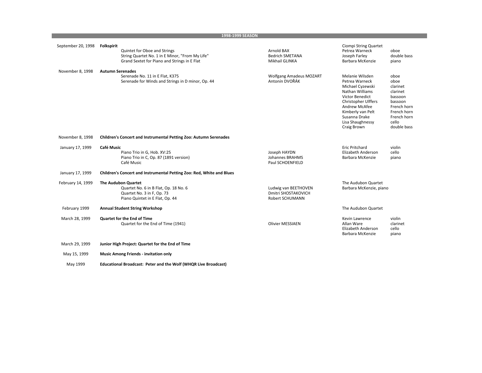|                    | 1998-1999 SEASON                                                                                                                                     |                                                                |                                                                                                                                                                                                                            |                                                                                                                                 |
|--------------------|------------------------------------------------------------------------------------------------------------------------------------------------------|----------------------------------------------------------------|----------------------------------------------------------------------------------------------------------------------------------------------------------------------------------------------------------------------------|---------------------------------------------------------------------------------------------------------------------------------|
| September 20, 1998 | <b>Folkspirit</b><br>Quintet for Oboe and Strings<br>String Quartet No. 1 in E Minor, "From My Life"<br>Grand Sextet for Piano and Strings in E Flat | Arnold BAX<br><b>Bedrich SMETANA</b><br>Mikhail GLINKA         | Ciompi String Quartet<br>Petrea Warneck<br>Joseph Farley<br>Barbara McKenzie                                                                                                                                               | oboe<br>double bass<br>piano                                                                                                    |
| November 8, 1998   | <b>Autumn Serenades</b><br>Serenade No. 11 in E Flat, K375<br>Serenade for Winds and Strings in D minor, Op. 44                                      | <b>Wolfgang Amadeus MOZART</b><br>Antonín DVOŘÁK               | Melanie Wilsden<br>Petrea Warneck<br>Michael Cyzewski<br>Nathan Williams<br><b>Victor Benedict</b><br><b>Christopher Ulffers</b><br>Andrew McAfee<br>Kimberly van Pelt<br>Susanna Drake<br>Lisa Shaughnessy<br>Craig Brown | oboe<br>oboe<br>clarinet<br>clarinet<br>bassoon<br>bassoon<br>French horn<br>French horn<br>French horn<br>cello<br>double bass |
| November 8, 1998   | Children's Concert and Instrumental Petting Zoo: Autumn Serenades                                                                                    |                                                                |                                                                                                                                                                                                                            |                                                                                                                                 |
| January 17, 1999   | <b>Café Music</b><br>Piano Trio in G, Hob. XV:25<br>Piano Trio in C, Op. 87 (1891 version)<br>Café Music                                             | Joseph HAYDN<br><b>Johannes BRAHMS</b><br>Paul SCHOENFIELD     | <b>Eric Pritchard</b><br>Elizabeth Anderson<br>Barbara McKenzie                                                                                                                                                            | violin<br>cello<br>piano                                                                                                        |
| January 17, 1999   | Children's Concert and Instrumental Petting Zoo: Red, White and Blues                                                                                |                                                                |                                                                                                                                                                                                                            |                                                                                                                                 |
| February 14, 1999  | <b>The Audubon Quartet</b><br>Quartet No. 6 in B Flat, Op. 18 No. 6<br>Quartet No. 3 in F, Op. 73<br>Piano Quintet in E Flat, Op. 44                 | Ludwig van BEETHOVEN<br>Dmitri SHOSTAKOVICH<br>Robert SCHUMANN | The Audubon Quartet<br>Barbara McKenzie, piano                                                                                                                                                                             |                                                                                                                                 |
| February 1999      | <b>Annual Student String Workshop</b>                                                                                                                |                                                                | The Audubon Quartet                                                                                                                                                                                                        |                                                                                                                                 |
| March 28, 1999     | <b>Quartet for the End of Time</b><br>Quartet for the End of Time (1941)                                                                             | <b>Olivier MESSIAEN</b>                                        | Kevin Lawrence<br>Allan Ware<br>Elizabeth Anderson<br>Barbara McKenzie                                                                                                                                                     | violin<br>clarinet<br>cello<br>piano                                                                                            |
| March 29, 1999     | Junior High Project: Quartet for the End of Time                                                                                                     |                                                                |                                                                                                                                                                                                                            |                                                                                                                                 |
| May 15, 1999       | <b>Music Among Friends - invitation only</b>                                                                                                         |                                                                |                                                                                                                                                                                                                            |                                                                                                                                 |

May 1999 **Educational Broadcast: Peter and the Wolf (WHQR Live Broadcast)**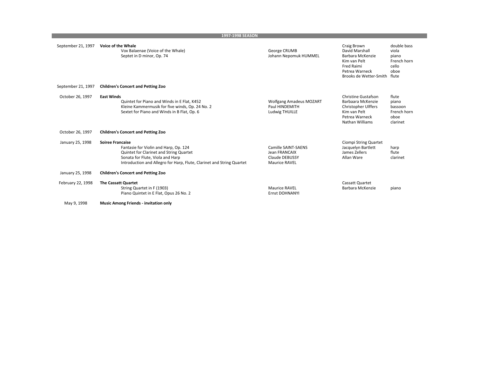|                    | 1997-1998 SEASON                                                                                                                                                                                                         |                                                                                |                                                                                                                                    |                                                                        |  |
|--------------------|--------------------------------------------------------------------------------------------------------------------------------------------------------------------------------------------------------------------------|--------------------------------------------------------------------------------|------------------------------------------------------------------------------------------------------------------------------------|------------------------------------------------------------------------|--|
| September 21, 1997 | Voice of the Whale<br>Vox Balaenae (Voice of the Whale)<br>Septet in D minor, Op. 74                                                                                                                                     | George CRUMB<br>Johann Nepomuk HUMMEL                                          | Craig Brown<br>David Marshall<br>Barbara McKenzie<br>Kim van Pelt<br><b>Fred Raimi</b><br>Petrea Warneck<br>Brooks de Wetter-Smith | double bass<br>viola<br>piano<br>French horn<br>cello<br>oboe<br>flute |  |
| September 21, 1997 | <b>Children's Concert and Petting Zoo</b>                                                                                                                                                                                |                                                                                |                                                                                                                                    |                                                                        |  |
| October 26, 1997   | <b>East Winds</b><br>Quintet for Piano and Winds in E Flat, K452<br>Kleine Kammermusik for five winds, Op. 24 No. 2<br>Sextet for Piano and Winds in B Flat, Op. 6                                                       | <b>Wolfgang Amadeus MOZART</b><br>Paul HINDEMITH<br>Ludwig THUILLE             | <b>Christine Gustafson</b><br>Barbaara McKenzie<br>Christopher Ulffers<br>Kim van Pelt<br>Petrea Warneck<br>Nathan Williams        | flute<br>piano<br>bassoon<br>French horn<br>oboe<br>clarinet           |  |
| October 26, 1997   | <b>Children's Concert and Petting Zoo</b>                                                                                                                                                                                |                                                                                |                                                                                                                                    |                                                                        |  |
| January 25, 1998   | <b>Soiree Francaise</b><br>Fantasie for Violin and Harp, Op. 124<br>Quintet for Clarinet and String Quartet<br>Sonata for Flute, Viola and Harp<br>Introduction and Allegro for Harp, Flute, Clarinet and String Quartet | Camille SAINT-SAENS<br>Jean FRANCAIX<br>Claude DEBUSSY<br><b>Maurice RAVEL</b> | Ciompi String Quartet<br>Jacquelyn Bartlett<br>James Zellers<br>Allan Ware                                                         | harp<br>flute<br>clarinet                                              |  |
| January 25, 1998   | <b>Children's Concert and Petting Zoo</b>                                                                                                                                                                                |                                                                                |                                                                                                                                    |                                                                        |  |
| February 22, 1998  | <b>The Cassatt Quartet</b><br>String Quartet in F (1903)<br>Piano Quintet in E Flat, Opus 26 No. 2                                                                                                                       | <b>Maurice RAVEL</b><br>Ernst DOHNANYI                                         | Cassatt Quartet<br>Barbara McKenzie                                                                                                | piano                                                                  |  |
| May 9, 1998        | <b>Music Among Friends - invitation only</b>                                                                                                                                                                             |                                                                                |                                                                                                                                    |                                                                        |  |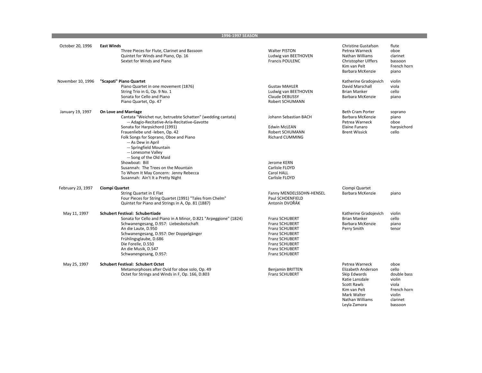|                   | 1996-1997 SEASON                                                                                                                                                                                                                                                                                                                                                                                                                                                                                 |                                                                                                                                                                          |                                                                                                                                                |                                                                                      |
|-------------------|--------------------------------------------------------------------------------------------------------------------------------------------------------------------------------------------------------------------------------------------------------------------------------------------------------------------------------------------------------------------------------------------------------------------------------------------------------------------------------------------------|--------------------------------------------------------------------------------------------------------------------------------------------------------------------------|------------------------------------------------------------------------------------------------------------------------------------------------|--------------------------------------------------------------------------------------|
| October 20, 1996  | <b>East Winds</b><br>Three Pieces for Flute, Clarinet and Bassoon<br>Quintet for Winds and Piano, Op. 16<br>Sextet for Winds and Piano                                                                                                                                                                                                                                                                                                                                                           | <b>Walter PISTON</b><br>Ludwig van BEETHOVEN<br><b>Francis POULENC</b>                                                                                                   | <b>Christine Gustafson</b><br>Petrea Warneck<br>Nathan Williams<br>Christopher Ulffers<br>Kim van Pelt<br>Barbara McKenzie                     | flute<br>oboe<br>clarinet<br>bassoon<br>French horn<br>piano                         |
| November 10, 1996 | "Scapati" Piano Quartet<br>Piano Quartet in one movement (1876)<br>String Trio in G, Op. 9 No. 1<br>Sonata for Cello and Piano<br>Piano Quartet, Op. 47                                                                                                                                                                                                                                                                                                                                          | <b>Gustav MAHLER</b><br>Ludwig van BEETHOVEN<br>Claude DEBUSSY<br>Robert SCHUMANN                                                                                        | Katherine Gradojevich<br>David Marschall<br><b>Brian Manker</b><br>Barbara McKenzie                                                            | violin<br>viola<br>cello<br>piano                                                    |
| January 19, 1997  | <b>On Love and Marriage</b><br>Cantata "Weichet nur, betruebte Schatten" (wedding cantata)<br>-- Adagio-Recitative-Aria-Recitative-Gavotte<br>Sonata for Harpsichord (1991)<br>Frauenliebe und -leben, Op. 42<br>Folk Songs for Soprano, Oboe and Piano<br>-- As Dew in April<br>-- Springfield Mountain<br>-- Lonesome Valley<br>-- Song of the Old Maid<br>Showboat: Bill<br>Susannah: The Trees on the Mountain<br>To Whom It May Concern: Jenny Rebecca<br>Susannah: Ain't It a Pretty Night | Johann Sebastian BACH<br><b>Edwin McLEAN</b><br>Robert SCHUMANN<br><b>Richard CUMMING</b><br>Jerome KERN<br>Carlisle FLOYD<br>Carol HALL<br>Carlisle FLOYD               | <b>Beth Cram Porter</b><br>Barbara McKenzie<br>Petrea Warneck<br>Elaine Funaro<br><b>Brent Wissick</b>                                         | soprano<br>piano<br>oboe<br>harpsichord<br>cello                                     |
| February 23, 1997 | Ciompi Quartet<br>String Quartet in E Flat<br>Four Pieces for String Quartet (1991) "Tales from Chelm"<br>Quintet for Piano and Strings in A, Op. 81 (1887)                                                                                                                                                                                                                                                                                                                                      | Fanny MENDELSSOHN-HENSEL<br>Paul SCHOENFIELD<br>Antonín DVOŘÁK                                                                                                           | Ciompi Quartet<br>Barbara McKenzie                                                                                                             | piano                                                                                |
| May 11, 1997      | <b>Schubert Festival: Schubertiade</b><br>Sonata for Cello and Piano in A Minor, D.821 "Arpeggione" (1824)<br>Schwanengesang, D.957: Liebesbotschaft<br>An die Laute, D.950<br>Schwanengesang, D.957: Der Doppelgänger<br>Frühlingsglaube, D.686<br>Die Forelle, D.550<br>An die Musik, D.547<br>Schwanengesang, D.957:                                                                                                                                                                          | Franz SCHUBERT<br>Franz SCHUBERT<br><b>Franz SCHUBERT</b><br>Franz SCHUBERT<br><b>Franz SCHUBERT</b><br><b>Franz SCHUBERT</b><br>Franz SCHUBERT<br><b>Franz SCHUBERT</b> | Katherine Gradojevich<br><b>Brian Manker</b><br>Barbara McKenzie<br>Perry Smith                                                                | violin<br>cello<br>piano<br>tenor                                                    |
| May 25, 1997      | <b>Schubert Festival: Schubert Octet</b><br>Metamorphoses after Ovid for oboe solo, Op. 49<br>Octet for Strings and Winds in F, Op. 166, D.803                                                                                                                                                                                                                                                                                                                                                   | <b>Benjamin BRITTEN</b><br>Franz SCHUBERT                                                                                                                                | Petrea Warneck<br>Elizabeth Anderson<br>Skip Edwards<br>Katie Lansdale<br><b>Scott Rawls</b><br>Kim van Pelt<br>Mark Walter<br>Nathan Williams | oboe<br>cello<br>double bass<br>violin<br>viola<br>French horn<br>violin<br>clarinet |

Leyla Zamora bassoon